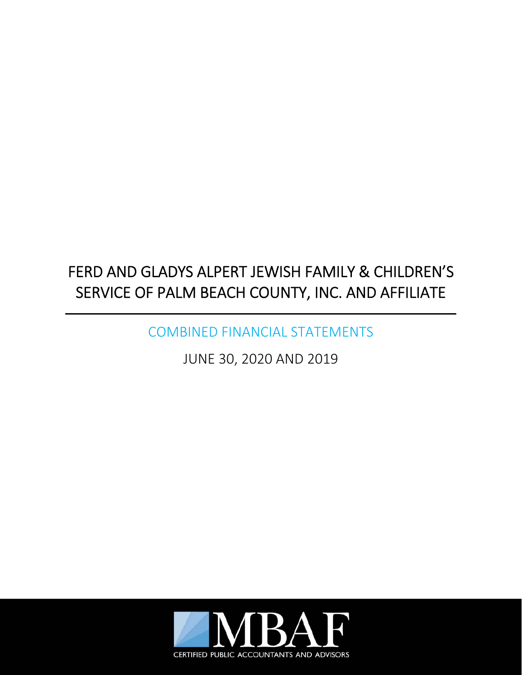COMBINED FINANCIAL STATEMENTS

JUNE 30, 2020 AND 2019

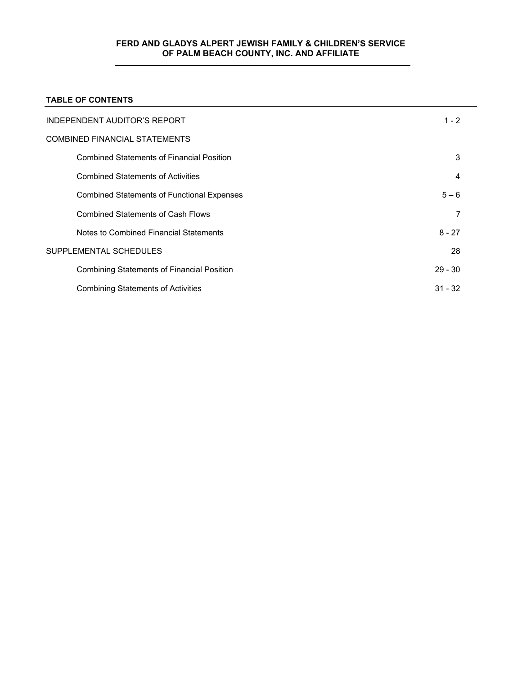# **TABLE OF CONTENTS**

| INDEPENDENT AUDITOR'S REPORT                      | $1 - 2$   |  |
|---------------------------------------------------|-----------|--|
| <b>COMBINED FINANCIAL STATEMENTS</b>              |           |  |
| <b>Combined Statements of Financial Position</b>  | 3         |  |
| <b>Combined Statements of Activities</b>          | 4         |  |
| <b>Combined Statements of Functional Expenses</b> | $5 - 6$   |  |
| <b>Combined Statements of Cash Flows</b>          |           |  |
| Notes to Combined Financial Statements            | $8 - 27$  |  |
| SUPPLEMENTAL SCHEDULES                            | 28        |  |
| <b>Combining Statements of Financial Position</b> | $29 - 30$ |  |
| <b>Combining Statements of Activities</b>         | $31 - 32$ |  |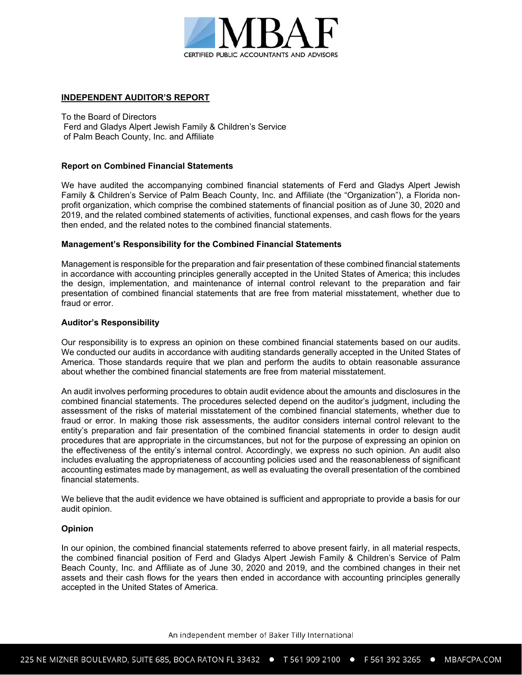

## **INDEPENDENT AUDITOR'S REPORT**

To the Board of Directors Ferd and Gladys Alpert Jewish Family & Children's Service of Palm Beach County, Inc. and Affiliate

## **Report on Combined Financial Statements**

We have audited the accompanying combined financial statements of Ferd and Gladys Alpert Jewish Family & Children's Service of Palm Beach County, Inc. and Affiliate (the "Organization"), a Florida nonprofit organization, which comprise the combined statements of financial position as of June 30, 2020 and 2019, and the related combined statements of activities, functional expenses, and cash flows for the years then ended, and the related notes to the combined financial statements.

## **Management's Responsibility for the Combined Financial Statements**

Management is responsible for the preparation and fair presentation of these combined financial statements in accordance with accounting principles generally accepted in the United States of America; this includes the design, implementation, and maintenance of internal control relevant to the preparation and fair presentation of combined financial statements that are free from material misstatement, whether due to fraud or error.

## **Auditor's Responsibility**

Our responsibility is to express an opinion on these combined financial statements based on our audits. We conducted our audits in accordance with auditing standards generally accepted in the United States of America. Those standards require that we plan and perform the audits to obtain reasonable assurance about whether the combined financial statements are free from material misstatement.

An audit involves performing procedures to obtain audit evidence about the amounts and disclosures in the combined financial statements. The procedures selected depend on the auditor's judgment, including the assessment of the risks of material misstatement of the combined financial statements, whether due to fraud or error. In making those risk assessments, the auditor considers internal control relevant to the entity's preparation and fair presentation of the combined financial statements in order to design audit procedures that are appropriate in the circumstances, but not for the purpose of expressing an opinion on the effectiveness of the entity's internal control. Accordingly, we express no such opinion. An audit also includes evaluating the appropriateness of accounting policies used and the reasonableness of significant accounting estimates made by management, as well as evaluating the overall presentation of the combined financial statements.

We believe that the audit evidence we have obtained is sufficient and appropriate to provide a basis for our audit opinion.

#### **Opinion**

In our opinion, the combined financial statements referred to above present fairly, in all material respects, the combined financial position of Ferd and Gladys Alpert Jewish Family & Children's Service of Palm Beach County, Inc. and Affiliate as of June 30, 2020 and 2019, and the combined changes in their net assets and their cash flows for the years then ended in accordance with accounting principles generally accepted in the United States of America.

An independent member of Baker Tilly International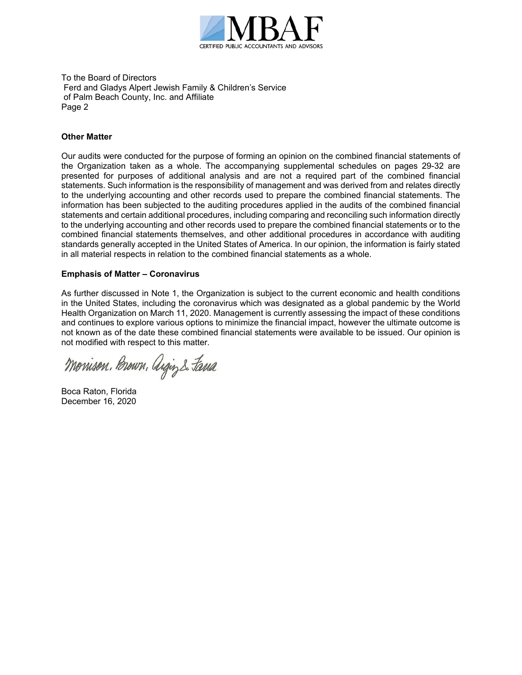

To the Board of Directors Ferd and Gladys Alpert Jewish Family & Children's Service of Palm Beach County, Inc. and Affiliate Page 2

## **Other Matter**

Our audits were conducted for the purpose of forming an opinion on the combined financial statements of the Organization taken as a whole. The accompanying supplemental schedules on pages 29-32 are presented for purposes of additional analysis and are not a required part of the combined financial statements. Such information is the responsibility of management and was derived from and relates directly to the underlying accounting and other records used to prepare the combined financial statements. The information has been subjected to the auditing procedures applied in the audits of the combined financial statements and certain additional procedures, including comparing and reconciling such information directly to the underlying accounting and other records used to prepare the combined financial statements or to the combined financial statements themselves, and other additional procedures in accordance with auditing standards generally accepted in the United States of America. In our opinion, the information is fairly stated in all material respects in relation to the combined financial statements as a whole.

## **Emphasis of Matter – Coronavirus**

As further discussed in Note 1, the Organization is subject to the current economic and health conditions in the United States, including the coronavirus which was designated as a global pandemic by the World Health Organization on March 11, 2020. Management is currently assessing the impact of these conditions and continues to explore various options to minimize the financial impact, however the ultimate outcome is not known as of the date these combined financial statements were available to be issued. Our opinion is not modified with respect to this matter.

Monison, Brown, Argin & Fana

Boca Raton, Florida December 16, 2020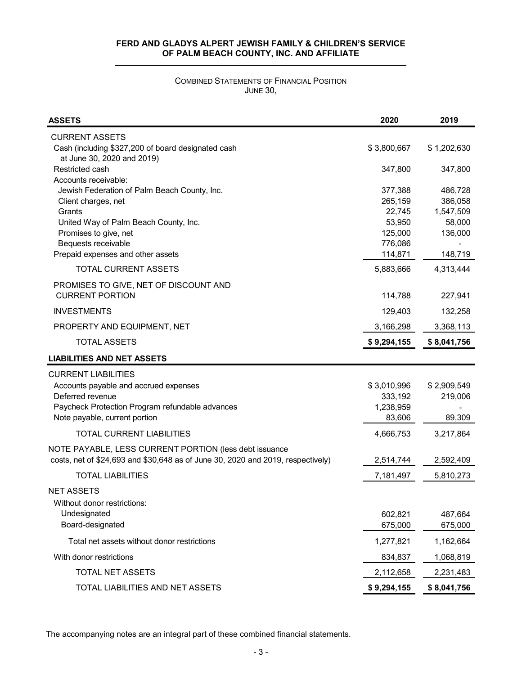# COMBINED STATEMENTS OF FINANCIAL POSITION JUNE 30,

| <b>ASSETS</b>                                                                    | 2020        | 2019        |
|----------------------------------------------------------------------------------|-------------|-------------|
| <b>CURRENT ASSETS</b>                                                            |             |             |
| Cash (including \$327,200 of board designated cash<br>at June 30, 2020 and 2019) | \$3,800,667 | \$1,202,630 |
| Restricted cash                                                                  | 347,800     | 347,800     |
| Accounts receivable:                                                             |             |             |
| Jewish Federation of Palm Beach County, Inc.                                     | 377,388     | 486,728     |
| Client charges, net                                                              | 265,159     | 386,058     |
| Grants                                                                           | 22,745      | 1,547,509   |
| United Way of Palm Beach County, Inc.                                            | 53,950      | 58,000      |
| Promises to give, net                                                            | 125,000     | 136,000     |
| Bequests receivable                                                              | 776,086     |             |
| Prepaid expenses and other assets                                                | 114,871     | 148,719     |
| <b>TOTAL CURRENT ASSETS</b>                                                      | 5,883,666   | 4,313,444   |
| PROMISES TO GIVE, NET OF DISCOUNT AND                                            |             |             |
| <b>CURRENT PORTION</b>                                                           | 114,788     | 227,941     |
| <b>INVESTMENTS</b>                                                               | 129,403     | 132,258     |
| PROPERTY AND EQUIPMENT, NET                                                      | 3,166,298   | 3,368,113   |
| <b>TOTAL ASSETS</b>                                                              | \$9,294,155 | \$8,041,756 |
| <b>LIABILITIES AND NET ASSETS</b>                                                |             |             |
| <b>CURRENT LIABILITIES</b>                                                       |             |             |
| Accounts payable and accrued expenses                                            | \$3,010,996 | \$2,909,549 |
| Deferred revenue                                                                 | 333,192     | 219,006     |
| Paycheck Protection Program refundable advances                                  | 1,238,959   |             |
| Note payable, current portion                                                    | 83,606      | 89,309      |
| <b>TOTAL CURRENT LIABILITIES</b>                                                 | 4,666,753   | 3,217,864   |
| NOTE PAYABLE, LESS CURRENT PORTION (less debt issuance                           |             |             |
| costs, net of \$24,693 and \$30,648 as of June 30, 2020 and 2019, respectively)  | 2,514,744   | 2,592,409   |
| <b>TOTAL LIABILITIES</b>                                                         | 7,181,497   | 5,810,273   |
| <b>NET ASSETS</b>                                                                |             |             |
| Without donor restrictions:                                                      |             |             |
| Undesignated                                                                     | 602,821     | 487,664     |
| Board-designated                                                                 | 675,000     | 675,000     |
|                                                                                  |             |             |
| Total net assets without donor restrictions                                      | 1,277,821   | 1,162,664   |
| With donor restrictions                                                          | 834,837     | 1,068,819   |
| TOTAL NET ASSETS                                                                 | 2,112,658   | 2,231,483   |
| TOTAL LIABILITIES AND NET ASSETS                                                 | \$9,294,155 | \$8,041,756 |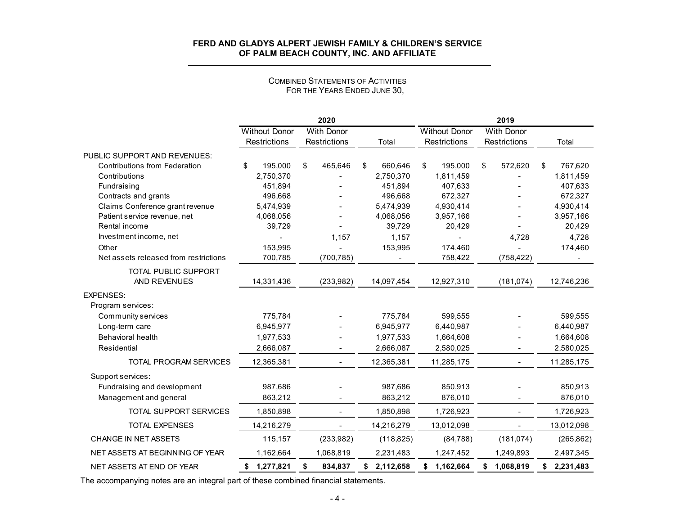|                                       |                      | 2020              |                 |                      | 2019              |                 |
|---------------------------------------|----------------------|-------------------|-----------------|----------------------|-------------------|-----------------|
|                                       | <b>Without Donor</b> | <b>With Donor</b> |                 | <b>Without Donor</b> | <b>With Donor</b> |                 |
|                                       | Restrictions         | Restrictions      | Total           | <b>Restrictions</b>  | Restrictions      | Total           |
| PUBLIC SUPPORT AND REVENUES:          |                      |                   |                 |                      |                   |                 |
| <b>Contributions from Federation</b>  | \$<br>195,000        | \$<br>465,646     | 660,646<br>\$   | \$<br>195,000        | \$<br>572,620     | 767,620<br>\$   |
| Contributions                         | 2,750,370            |                   | 2,750,370       | 1,811,459            |                   | 1,811,459       |
| Fundraising                           | 451,894              |                   | 451,894         | 407,633              |                   | 407,633         |
| Contracts and grants                  | 496,668              |                   | 496,668         | 672,327              |                   | 672,327         |
| Claims Conference grant revenue       | 5,474,939            |                   | 5,474,939       | 4,930,414            |                   | 4,930,414       |
| Patient service revenue, net          | 4,068,056            |                   | 4,068,056       | 3,957,166            |                   | 3,957,166       |
| Rental income                         | 39,729               |                   | 39,729          | 20,429               |                   | 20,429          |
| Investment income, net                |                      | 1.157             | 1,157           |                      | 4,728             | 4,728           |
| Other                                 | 153,995              |                   | 153,995         | 174,460              |                   | 174,460         |
| Net assets released from restrictions | 700,785              | (700, 785)        |                 | 758,422              | (758, 422)        |                 |
| TOTAL PUBLIC SUPPORT                  |                      |                   |                 |                      |                   |                 |
| AND REVENUES                          | 14,331,436           | (233,982)         | 14,097,454      | 12,927,310           | (181, 074)        | 12,746,236      |
| <b>EXPENSES:</b>                      |                      |                   |                 |                      |                   |                 |
| Program services:                     |                      |                   |                 |                      |                   |                 |
| Community services                    | 775,784              |                   | 775,784         | 599,555              |                   | 599,555         |
| Long-term care                        | 6,945,977            |                   | 6,945,977       | 6,440,987            |                   | 6,440,987       |
| Behavioral health                     | 1,977,533            |                   | 1,977,533       | 1,664,608            |                   | 1,664,608       |
| Residential                           | 2,666,087            |                   | 2,666,087       | 2,580,025            |                   | 2,580,025       |
| TOTAL PROGRAM SERVICES                | 12,365,381           | $\blacksquare$    | 12,365,381      | 11,285,175           | $\sim$            | 11,285,175      |
| Support services:                     |                      |                   |                 |                      |                   |                 |
| Fundraising and development           | 987,686              |                   | 987,686         | 850,913              |                   | 850,913         |
| Management and general                | 863,212              |                   | 863,212         | 876,010              |                   | 876,010         |
| <b>TOTAL SUPPORT SERVICES</b>         | 1,850,898            |                   | 1,850,898       | 1,726,923            |                   | 1,726,923       |
| <b>TOTAL EXPENSES</b>                 | 14,216,279           |                   | 14,216,279      | 13,012,098           |                   | 13,012,098      |
| CHANGE IN NET ASSETS                  | 115,157              | (233,982)         | (118, 825)      | (84, 788)            | (181, 074)        | (265, 862)      |
|                                       |                      |                   |                 |                      |                   |                 |
| NET ASSETS AT BEGINNING OF YEAR       | 1,162,664            | 1,068,819         | 2,231,483       | 1,247,452            | 1,249,893         | 2,497,345       |
| NET ASSETS AT END OF YEAR             | 1,277,821<br>\$      | \$<br>834,837     | 2,112,658<br>\$ | \$1,162,664          | 1,068,819<br>\$   | 2,231,483<br>\$ |

#### COMBINED STATEMENTS OF ACTIVITIESFOR THE YEARS ENDED JUNE 30,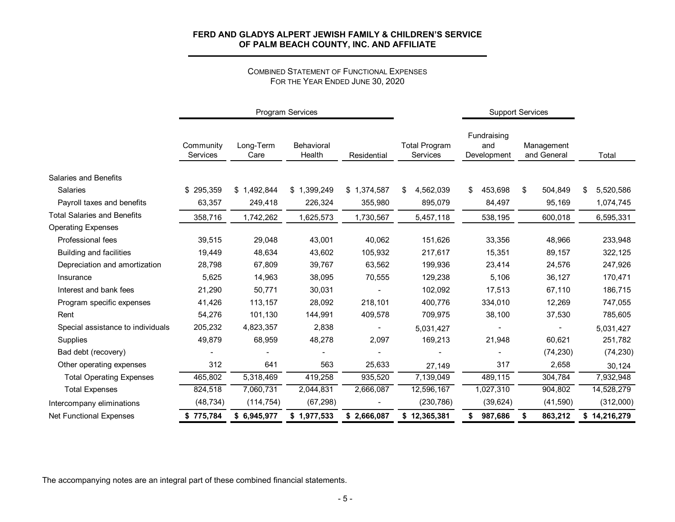#### COMBINED STATEMENT OF FUNCTIONAL EXPENSES FOR THE YEAR ENDED JUNE 30, 2020

|                                    | Program Services      |                   |                      |             |                                  | <b>Support Services</b>           |                           |                 |
|------------------------------------|-----------------------|-------------------|----------------------|-------------|----------------------------------|-----------------------------------|---------------------------|-----------------|
|                                    | Community<br>Services | Long-Term<br>Care | Behavioral<br>Health | Residential | <b>Total Program</b><br>Services | Fundraising<br>and<br>Development | Management<br>and General | Total           |
| Salaries and Benefits              |                       |                   |                      |             |                                  |                                   |                           |                 |
| Salaries                           | \$295,359             | \$1,492,844       | \$1,399,249          | \$1,374,587 | \$<br>4,562,039                  | 453,698<br>\$                     | 504,849<br>\$             | 5,520,586<br>\$ |
| Payroll taxes and benefits         | 63,357                | 249,418           | 226,324              | 355,980     | 895,079                          | 84,497                            | 95,169                    | 1,074,745       |
| <b>Total Salaries and Benefits</b> | 358,716               | 1,742,262         | 1,625,573            | 1,730,567   | 5,457,118                        | 538,195                           | 600,018                   | 6,595,331       |
| <b>Operating Expenses</b>          |                       |                   |                      |             |                                  |                                   |                           |                 |
| Professional fees                  | 39,515                | 29,048            | 43,001               | 40,062      | 151,626                          | 33,356                            | 48,966                    | 233,948         |
| <b>Building and facilities</b>     | 19,449                | 48,634            | 43,602               | 105,932     | 217,617                          | 15,351                            | 89,157                    | 322,125         |
| Depreciation and amortization      | 28,798                | 67,809            | 39,767               | 63,562      | 199,936                          | 23,414                            | 24,576                    | 247,926         |
| Insurance                          | 5,625                 | 14,963            | 38,095               | 70,555      | 129,238                          | 5,106                             | 36,127                    | 170,471         |
| Interest and bank fees             | 21,290                | 50,771            | 30,031               |             | 102,092                          | 17,513                            | 67,110                    | 186,715         |
| Program specific expenses          | 41,426                | 113,157           | 28,092               | 218,101     | 400,776                          | 334,010                           | 12,269                    | 747,055         |
| Rent                               | 54,276                | 101,130           | 144,991              | 409,578     | 709,975                          | 38,100                            | 37,530                    | 785,605         |
| Special assistance to individuals  | 205,232               | 4,823,357         | 2,838                |             | 5,031,427                        |                                   |                           | 5,031,427       |
| Supplies                           | 49,879                | 68,959            | 48,278               | 2,097       | 169,213                          | 21,948                            | 60,621                    | 251,782         |
| Bad debt (recovery)                |                       |                   |                      |             |                                  |                                   | (74, 230)                 | (74, 230)       |
| Other operating expenses           | 312                   | 641               | 563                  | 25,633      | 27,149                           | 317                               | 2,658                     | 30,124          |
| <b>Total Operating Expenses</b>    | 465,802               | 5,318,469         | 419,258              | 935,520     | 7,139,049                        | 489,115                           | 304,784                   | 7,932,948       |
| <b>Total Expenses</b>              | 824,518               | 7,060,731         | 2,044,831            | 2,666,087   | 12,596,167                       | 1,027,310                         | 904,802                   | 14,528,279      |
| Intercompany eliminations          | (48, 734)             | (114, 754)        | (67, 298)            |             | (230, 786)                       | (39, 624)                         | (41, 590)                 | (312,000)       |
| <b>Net Functional Expenses</b>     | \$775,784             | \$6,945,977       | \$1,977,533          | \$2,666,087 | \$12,365,381                     | 987,686<br>\$                     | 863,212<br>\$             | \$14,216,279    |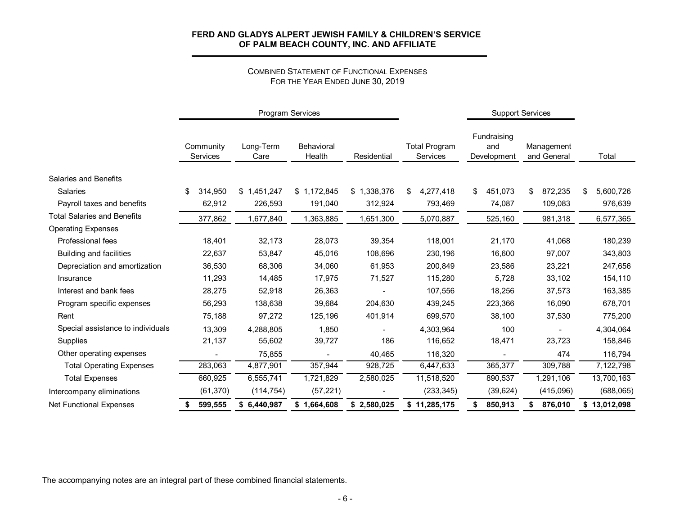#### COMBINED STATEMENT OF FUNCTIONAL EXPENSES FOR THE YEAR ENDED JUNE 30, 2019

|                                    |                       |                   | Program Services     |             |                                         | <b>Support Services</b> |                                   |                           |    |              |
|------------------------------------|-----------------------|-------------------|----------------------|-------------|-----------------------------------------|-------------------------|-----------------------------------|---------------------------|----|--------------|
|                                    | Community<br>Services | Long-Term<br>Care | Behavioral<br>Health | Residential | <b>Total Program</b><br><b>Services</b> |                         | Fundraising<br>and<br>Development | Management<br>and General |    | Total        |
| Salaries and Benefits              |                       |                   |                      |             |                                         |                         |                                   |                           |    |              |
| Salaries                           | \$<br>314,950         | \$1,451,247       | \$1,172,845          | \$1,338,376 | 4,277,418<br>\$                         | \$                      | 451,073                           | \$<br>872,235             | \$ | 5,600,726    |
| Payroll taxes and benefits         | 62,912                | 226,593           | 191,040              | 312,924     | 793,469                                 |                         | 74,087                            | 109,083                   |    | 976,639      |
| <b>Total Salaries and Benefits</b> | 377,862               | 1,677,840         | 1,363,885            | 1,651,300   | 5,070,887                               |                         | 525,160                           | 981,318                   |    | 6,577,365    |
| <b>Operating Expenses</b>          |                       |                   |                      |             |                                         |                         |                                   |                           |    |              |
| Professional fees                  | 18,401                | 32,173            | 28,073               | 39,354      | 118,001                                 |                         | 21,170                            | 41,068                    |    | 180,239      |
| <b>Building and facilities</b>     | 22,637                | 53,847            | 45,016               | 108,696     | 230,196                                 |                         | 16,600                            | 97,007                    |    | 343,803      |
| Depreciation and amortization      | 36,530                | 68,306            | 34,060               | 61,953      | 200,849                                 |                         | 23,586                            | 23,221                    |    | 247,656      |
| Insurance                          | 11,293                | 14,485            | 17,975               | 71,527      | 115,280                                 |                         | 5,728                             | 33,102                    |    | 154,110      |
| Interest and bank fees             | 28,275                | 52,918            | 26,363               |             | 107,556                                 |                         | 18,256                            | 37,573                    |    | 163,385      |
| Program specific expenses          | 56,293                | 138,638           | 39,684               | 204,630     | 439,245                                 |                         | 223,366                           | 16,090                    |    | 678,701      |
| Rent                               | 75,188                | 97,272            | 125,196              | 401,914     | 699,570                                 |                         | 38,100                            | 37,530                    |    | 775,200      |
| Special assistance to individuals  | 13,309                | 4,288,805         | 1,850                |             | 4,303,964                               |                         | 100                               |                           |    | 4,304,064    |
| Supplies                           | 21,137                | 55,602            | 39,727               | 186         | 116,652                                 |                         | 18,471                            | 23,723                    |    | 158,846      |
| Other operating expenses           |                       | 75,855            |                      | 40,465      | 116,320                                 |                         |                                   | 474                       |    | 116,794      |
| <b>Total Operating Expenses</b>    | 283,063               | 4,877,901         | 357,944              | 928,725     | 6,447,633                               |                         | 365,377                           | 309,788                   |    | 7,122,798    |
| <b>Total Expenses</b>              | 660,925               | 6,555,741         | 1,721,829            | 2,580,025   | 11,518,520                              |                         | 890,537                           | 1,291,106                 |    | 13,700,163   |
| Intercompany eliminations          | (61, 370)             | (114, 754)        | (57, 221)            |             | (233, 345)                              |                         | (39, 624)                         | (415,096)                 |    | (688,065)    |
| <b>Net Functional Expenses</b>     | \$<br>599,555         | \$6,440,987       | \$1,664,608          | \$2,580,025 | \$11,285,175                            | \$                      | 850,913                           | 876,010<br>S              |    | \$13,012,098 |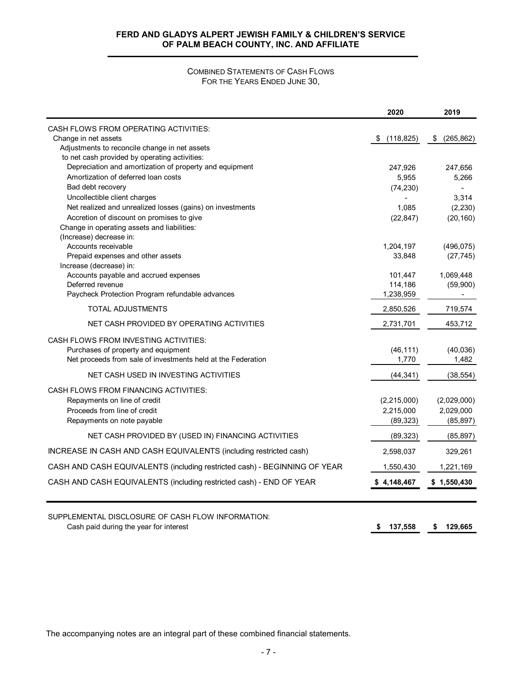## COMBINED STATEMENTS OF CASH FLOWS FOR THE YEARS ENDED JUNE 30,

|                                                                           | 2020               | 2019                  |
|---------------------------------------------------------------------------|--------------------|-----------------------|
| CASH FLOWS FROM OPERATING ACTIVITIES:                                     |                    |                       |
| Change in net assets                                                      | (118, 825)<br>\$   | (265, 862)<br>\$      |
| Adjustments to reconcile change in net assets                             |                    |                       |
| to net cash provided by operating activities:                             |                    |                       |
| Depreciation and amortization of property and equipment                   | 247,926            | 247,656               |
| Amortization of deferred loan costs                                       | 5,955              | 5,266                 |
| Bad debt recovery                                                         | (74, 230)          |                       |
| Uncollectible client charges                                              |                    | 3,314                 |
| Net realized and unrealized losses (gains) on investments                 | 1,085              | (2, 230)              |
| Accretion of discount on promises to give                                 | (22, 847)          | (20, 160)             |
| Change in operating assets and liabilities:                               |                    |                       |
| (Increase) decrease in:                                                   |                    |                       |
| Accounts receivable                                                       | 1,204,197          | (496, 075)            |
| Prepaid expenses and other assets                                         | 33,848             | (27, 745)             |
| Increase (decrease) in:                                                   |                    |                       |
| Accounts payable and accrued expenses<br>Deferred revenue                 | 101,447<br>114,186 | 1,069,448<br>(59,900) |
| Paycheck Protection Program refundable advances                           | 1,238,959          |                       |
| TOTAL ADJUSTMENTS                                                         | 2,850,526          | 719,574               |
|                                                                           |                    |                       |
| NET CASH PROVIDED BY OPERATING ACTIVITIES                                 | 2,731,701          | 453,712               |
| CASH FLOWS FROM INVESTING ACTIVITIES:                                     |                    |                       |
| Purchases of property and equipment                                       | (46, 111)          | (40, 036)             |
| Net proceeds from sale of investments held at the Federation              | 1,770              | 1,482                 |
| NET CASH USED IN INVESTING ACTIVITIES                                     | (44, 341)          | (38, 554)             |
| CASH FLOWS FROM FINANCING ACTIVITIES:                                     |                    |                       |
| Repayments on line of credit                                              | (2,215,000)        | (2,029,000)           |
| Proceeds from line of credit                                              | 2,215,000          | 2,029,000             |
| Repayments on note payable                                                | (89, 323)          | (85, 897)             |
| NET CASH PROVIDED BY (USED IN) FINANCING ACTIVITIES                       | (89, 323)          | (85, 897)             |
| INCREASE IN CASH AND CASH EQUIVALENTS (including restricted cash)         | 2,598,037          | 329,261               |
| CASH AND CASH EQUIVALENTS (including restricted cash) - BEGINNING OF YEAR | 1,550,430          | 1,221,169             |
|                                                                           |                    |                       |
| CASH AND CASH EQUIVALENTS (including restricted cash) - END OF YEAR       | \$4,148,467        | \$1,550,430           |
| SUPPLEMENTAL DISCLOSURE OF CASH FLOW INFORMATION:                         |                    |                       |
| Cash paid during the year for interest                                    | 137,558<br>\$      | 129,665<br>\$         |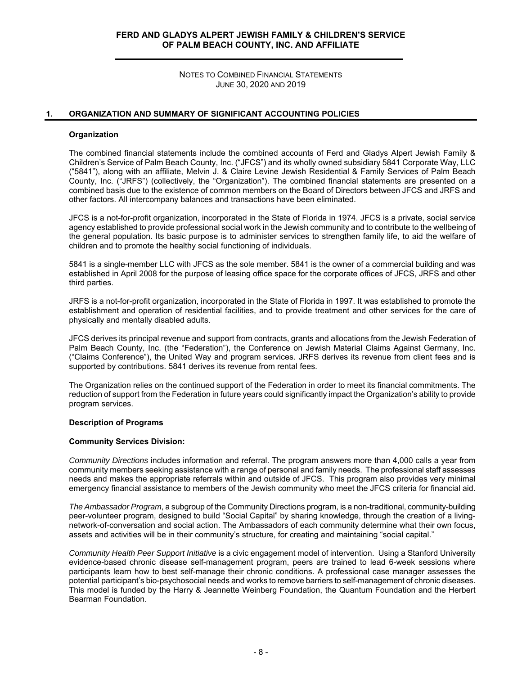NOTES TO COMBINED FINANCIAL STATEMENTS JUNE 30, 2020 AND 2019

## **1. ORGANIZATION AND SUMMARY OF SIGNIFICANT ACCOUNTING POLICIES**

#### **Organization**

The combined financial statements include the combined accounts of Ferd and Gladys Alpert Jewish Family & Children's Service of Palm Beach County, Inc. ("JFCS") and its wholly owned subsidiary 5841 Corporate Way, LLC ("5841"), along with an affiliate, Melvin J. & Claire Levine Jewish Residential & Family Services of Palm Beach County, Inc. ("JRFS") (collectively, the "Organization"). The combined financial statements are presented on a combined basis due to the existence of common members on the Board of Directors between JFCS and JRFS and other factors. All intercompany balances and transactions have been eliminated.

JFCS is a not-for-profit organization, incorporated in the State of Florida in 1974. JFCS is a private, social service agency established to provide professional social work in the Jewish community and to contribute to the wellbeing of the general population. Its basic purpose is to administer services to strengthen family life, to aid the welfare of children and to promote the healthy social functioning of individuals.

5841 is a single-member LLC with JFCS as the sole member. 5841 is the owner of a commercial building and was established in April 2008 for the purpose of leasing office space for the corporate offices of JFCS, JRFS and other third parties.

JRFS is a not-for-profit organization, incorporated in the State of Florida in 1997. It was established to promote the establishment and operation of residential facilities, and to provide treatment and other services for the care of physically and mentally disabled adults.

JFCS derives its principal revenue and support from contracts, grants and allocations from the Jewish Federation of Palm Beach County, Inc. (the "Federation"), the Conference on Jewish Material Claims Against Germany, Inc. ("Claims Conference"), the United Way and program services. JRFS derives its revenue from client fees and is supported by contributions. 5841 derives its revenue from rental fees.

The Organization relies on the continued support of the Federation in order to meet its financial commitments. The reduction of support from the Federation in future years could significantly impact the Organization's ability to provide program services.

#### **Description of Programs**

#### **Community Services Division:**

*Community Directions* includes information and referral. The program answers more than 4,000 calls a year from community members seeking assistance with a range of personal and family needs. The professional staff assesses needs and makes the appropriate referrals within and outside of JFCS. This program also provides very minimal emergency financial assistance to members of the Jewish community who meet the JFCS criteria for financial aid.

*The Ambassador Program*, a subgroup of the Community Directions program, is a non-traditional, community-building peer-volunteer program, designed to build "Social Capital" by sharing knowledge, through the creation of a livingnetwork-of-conversation and social action. The Ambassadors of each community determine what their own focus, assets and activities will be in their community's structure, for creating and maintaining "social capital."

*Community Health Peer Support Initiative* is a civic engagement model of intervention. Using a Stanford University evidence-based chronic disease self-management program, peers are trained to lead 6-week sessions where participants learn how to best self-manage their chronic conditions. A professional case manager assesses the potential participant's bio-psychosocial needs and works to remove barriers to self-management of chronic diseases. This model is funded by the Harry & Jeannette Weinberg Foundation, the Quantum Foundation and the Herbert Bearman Foundation.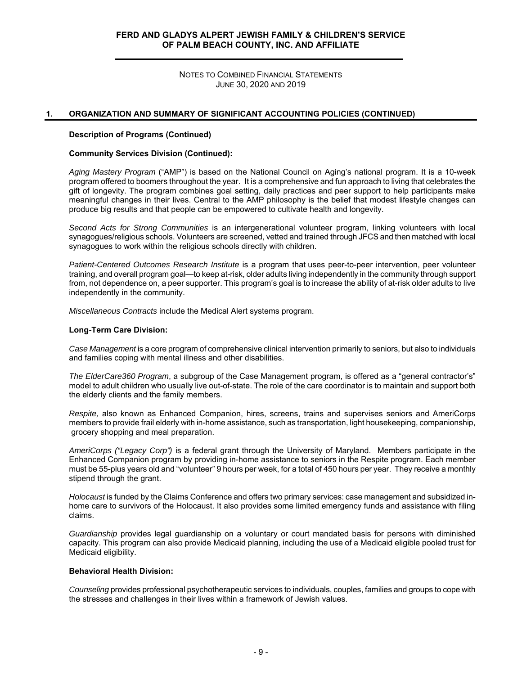NOTES TO COMBINED FINANCIAL STATEMENTS JUNE 30, 2020 AND 2019

## **1. ORGANIZATION AND SUMMARY OF SIGNIFICANT ACCOUNTING POLICIES (CONTINUED)**

#### **Description of Programs (Continued)**

#### **Community Services Division (Continued):**

*Aging Mastery Program* ("AMP") is based on the National Council on Aging's national program. It is a 10-week program offered to boomers throughout the year. It is a comprehensive and fun approach to living that celebrates the gift of longevity. The program combines goal setting, daily practices and peer support to help participants make meaningful changes in their lives. Central to the AMP philosophy is the belief that modest lifestyle changes can produce big results and that people can be empowered to cultivate health and longevity.

*Second Acts for Strong Communities* is an intergenerational volunteer program, linking volunteers with local synagogues/religious schools. Volunteers are screened, vetted and trained through JFCS and then matched with local synagogues to work within the religious schools directly with children.

*Patient-Centered Outcomes Research Institute* is a program that uses peer-to-peer intervention, peer volunteer training, and overall program goal—to keep at-risk, older adults living independently in the community through support from, not dependence on, a peer supporter. This program's goal is to increase the ability of at-risk older adults to live independently in the community.

*Miscellaneous Contracts* include the Medical Alert systems program.

#### **Long-Term Care Division:**

*Case Management* is a core program of comprehensive clinical intervention primarily to seniors, but also to individuals and families coping with mental illness and other disabilities.

*The ElderCare360 Program*, a subgroup of the Case Management program, is offered as a "general contractor's" model to adult children who usually live out-of-state. The role of the care coordinator is to maintain and support both the elderly clients and the family members.

*Respite,* also known as Enhanced Companion, hires, screens, trains and supervises seniors and AmeriCorps members to provide frail elderly with in-home assistance, such as transportation, light housekeeping, companionship, grocery shopping and meal preparation.

*AmeriCorps ("Legacy Corp")* is a federal grant through the University of Maryland. Members participate in the Enhanced Companion program by providing in-home assistance to seniors in the Respite program. Each member must be 55-plus years old and "volunteer" 9 hours per week, for a total of 450 hours per year. They receive a monthly stipend through the grant.

*Holocaust* is funded by the Claims Conference and offers two primary services: case management and subsidized inhome care to survivors of the Holocaust. It also provides some limited emergency funds and assistance with filing claims.

*Guardianship* provides legal guardianship on a voluntary or court mandated basis for persons with diminished capacity. This program can also provide Medicaid planning, including the use of a Medicaid eligible pooled trust for Medicaid eligibility.

#### **Behavioral Health Division:**

*Counseling* provides professional psychotherapeutic services to individuals, couples, families and groups to cope with the stresses and challenges in their lives within a framework of Jewish values.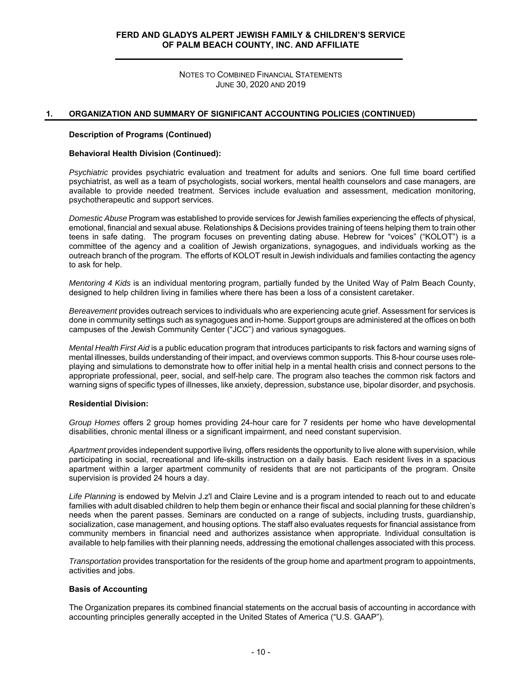NOTES TO COMBINED FINANCIAL STATEMENTS JUNE 30, 2020 AND 2019

## **1. ORGANIZATION AND SUMMARY OF SIGNIFICANT ACCOUNTING POLICIES (CONTINUED)**

#### **Description of Programs (Continued)**

#### **Behavioral Health Division (Continued):**

*Psychiatric* provides psychiatric evaluation and treatment for adults and seniors. One full time board certified psychiatrist, as well as a team of psychologists, social workers, mental health counselors and case managers, are available to provide needed treatment. Services include evaluation and assessment, medication monitoring, psychotherapeutic and support services.

*Domestic Abuse* Program was established to provide services for Jewish families experiencing the effects of physical, emotional, financial and sexual abuse. Relationships & Decisions provides training of teens helping them to train other teens in safe dating. The program focuses on preventing dating abuse. Hebrew for "voices" ("KOLOT") is a committee of the agency and a coalition of Jewish organizations, synagogues, and individuals working as the outreach branch of the program. The efforts of KOLOT result in Jewish individuals and families contacting the agency to ask for help.

*Mentoring 4 Kids* is an individual mentoring program, partially funded by the United Way of Palm Beach County, designed to help children living in families where there has been a loss of a consistent caretaker.

*Bereavement* provides outreach services to individuals who are experiencing acute grief. Assessment for services is done in community settings such as synagogues and in-home. Support groups are administered at the offices on both campuses of the Jewish Community Center ("JCC") and various synagogues.

*Mental Health First Aid* is a public education program that introduces participants to risk factors and warning signs of mental illnesses, builds understanding of their impact, and overviews common supports. This 8-hour course uses roleplaying and simulations to demonstrate how to offer initial help in a mental health crisis and connect persons to the appropriate professional, peer, social, and self-help care. The program also teaches the common risk factors and warning signs of specific types of illnesses, like anxiety, depression, substance use, bipolar disorder, and psychosis.

#### **Residential Division:**

*Group Homes* offers 2 group homes providing 24-hour care for 7 residents per home who have developmental disabilities, chronic mental illness or a significant impairment, and need constant supervision.

Apartment provides independent supportive living, offers residents the opportunity to live alone with supervision, while participating in social, recreational and life-skills instruction on a daily basis. Each resident lives in a spacious apartment within a larger apartment community of residents that are not participants of the program. Onsite supervision is provided 24 hours a day.

*Life Planning* is endowed by Melvin J.z'l and Claire Levine and is a program intended to reach out to and educate families with adult disabled children to help them begin or enhance their fiscal and social planning for these children's needs when the parent passes. Seminars are conducted on a range of subjects, including trusts, guardianship, socialization, case management, and housing options. The staff also evaluates requests for financial assistance from community members in financial need and authorizes assistance when appropriate. Individual consultation is available to help families with their planning needs, addressing the emotional challenges associated with this process.

*Transportation* provides transportation for the residents of the group home and apartment program to appointments, activities and jobs.

#### **Basis of Accounting**

The Organization prepares its combined financial statements on the accrual basis of accounting in accordance with accounting principles generally accepted in the United States of America ("U.S. GAAP").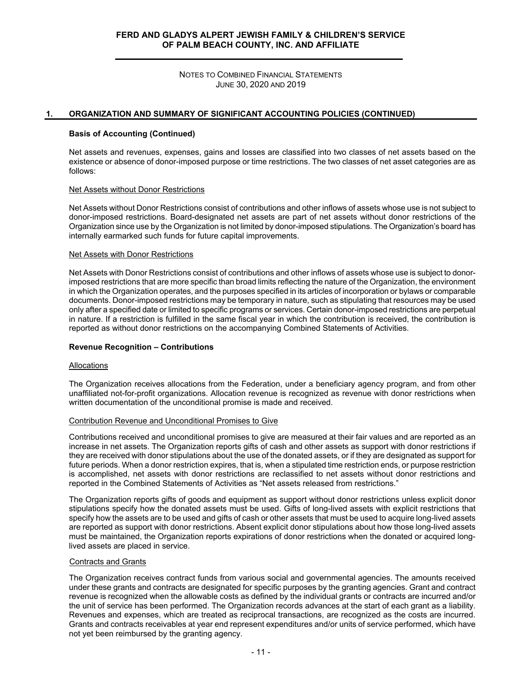NOTES TO COMBINED FINANCIAL STATEMENTS JUNE 30, 2020 AND 2019

#### **1. ORGANIZATION AND SUMMARY OF SIGNIFICANT ACCOUNTING POLICIES (CONTINUED)**

#### **Basis of Accounting (Continued)**

Net assets and revenues, expenses, gains and losses are classified into two classes of net assets based on the existence or absence of donor-imposed purpose or time restrictions. The two classes of net asset categories are as follows:

## Net Assets without Donor Restrictions

Net Assets without Donor Restrictions consist of contributions and other inflows of assets whose use is not subject to donor-imposed restrictions. Board-designated net assets are part of net assets without donor restrictions of the Organization since use by the Organization is not limited by donor-imposed stipulations. The Organization's board has internally earmarked such funds for future capital improvements.

#### Net Assets with Donor Restrictions

Net Assets with Donor Restrictions consist of contributions and other inflows of assets whose use is subject to donorimposed restrictions that are more specific than broad limits reflecting the nature of the Organization, the environment in which the Organization operates, and the purposes specified in its articles of incorporation or bylaws or comparable documents. Donor-imposed restrictions may be temporary in nature, such as stipulating that resources may be used only after a specified date or limited to specific programs or services. Certain donor-imposed restrictions are perpetual in nature. If a restriction is fulfilled in the same fiscal year in which the contribution is received, the contribution is reported as without donor restrictions on the accompanying Combined Statements of Activities.

## **Revenue Recognition – Contributions**

#### Allocations

The Organization receives allocations from the Federation, under a beneficiary agency program, and from other unaffiliated not-for-profit organizations. Allocation revenue is recognized as revenue with donor restrictions when written documentation of the unconditional promise is made and received.

#### Contribution Revenue and Unconditional Promises to Give

Contributions received and unconditional promises to give are measured at their fair values and are reported as an increase in net assets. The Organization reports gifts of cash and other assets as support with donor restrictions if they are received with donor stipulations about the use of the donated assets, or if they are designated as support for future periods. When a donor restriction expires, that is, when a stipulated time restriction ends, or purpose restriction is accomplished, net assets with donor restrictions are reclassified to net assets without donor restrictions and reported in the Combined Statements of Activities as "Net assets released from restrictions."

The Organization reports gifts of goods and equipment as support without donor restrictions unless explicit donor stipulations specify how the donated assets must be used. Gifts of long-lived assets with explicit restrictions that specify how the assets are to be used and gifts of cash or other assets that must be used to acquire long-lived assets are reported as support with donor restrictions. Absent explicit donor stipulations about how those long-lived assets must be maintained, the Organization reports expirations of donor restrictions when the donated or acquired longlived assets are placed in service.

#### Contracts and Grants

The Organization receives contract funds from various social and governmental agencies. The amounts received under these grants and contracts are designated for specific purposes by the granting agencies. Grant and contract revenue is recognized when the allowable costs as defined by the individual grants or contracts are incurred and/or the unit of service has been performed. The Organization records advances at the start of each grant as a liability. Revenues and expenses, which are treated as reciprocal transactions, are recognized as the costs are incurred. Grants and contracts receivables at year end represent expenditures and/or units of service performed, which have not yet been reimbursed by the granting agency.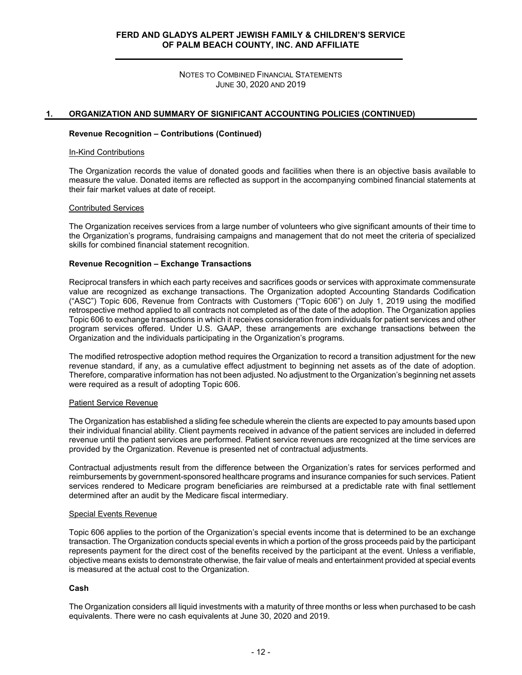NOTES TO COMBINED FINANCIAL STATEMENTS JUNE 30, 2020 AND 2019

#### **1. ORGANIZATION AND SUMMARY OF SIGNIFICANT ACCOUNTING POLICIES (CONTINUED)**

#### **Revenue Recognition – Contributions (Continued)**

#### In-Kind Contributions

The Organization records the value of donated goods and facilities when there is an objective basis available to measure the value. Donated items are reflected as support in the accompanying combined financial statements at their fair market values at date of receipt.

## Contributed Services

The Organization receives services from a large number of volunteers who give significant amounts of their time to the Organization's programs, fundraising campaigns and management that do not meet the criteria of specialized skills for combined financial statement recognition.

#### **Revenue Recognition – Exchange Transactions**

Reciprocal transfers in which each party receives and sacrifices goods or services with approximate commensurate value are recognized as exchange transactions. The Organization adopted Accounting Standards Codification ("ASC") Topic 606, Revenue from Contracts with Customers ("Topic 606") on July 1, 2019 using the modified retrospective method applied to all contracts not completed as of the date of the adoption. The Organization applies Topic 606 to exchange transactions in which it receives consideration from individuals for patient services and other program services offered. Under U.S. GAAP, these arrangements are exchange transactions between the Organization and the individuals participating in the Organization's programs.

The modified retrospective adoption method requires the Organization to record a transition adjustment for the new revenue standard, if any, as a cumulative effect adjustment to beginning net assets as of the date of adoption. Therefore, comparative information has not been adjusted. No adjustment to the Organization's beginning net assets were required as a result of adopting Topic 606.

#### Patient Service Revenue

The Organization has established a sliding fee schedule wherein the clients are expected to pay amounts based upon their individual financial ability. Client payments received in advance of the patient services are included in deferred revenue until the patient services are performed. Patient service revenues are recognized at the time services are provided by the Organization. Revenue is presented net of contractual adjustments.

Contractual adjustments result from the difference between the Organization's rates for services performed and reimbursements by government-sponsored healthcare programs and insurance companies for such services. Patient services rendered to Medicare program beneficiaries are reimbursed at a predictable rate with final settlement determined after an audit by the Medicare fiscal intermediary.

#### Special Events Revenue

Topic 606 applies to the portion of the Organization's special events income that is determined to be an exchange transaction. The Organization conducts special events in which a portion of the gross proceeds paid by the participant represents payment for the direct cost of the benefits received by the participant at the event. Unless a verifiable, objective means exists to demonstrate otherwise, the fair value of meals and entertainment provided at special events is measured at the actual cost to the Organization.

#### **Cash**

The Organization considers all liquid investments with a maturity of three months or less when purchased to be cash equivalents. There were no cash equivalents at June 30, 2020 and 2019.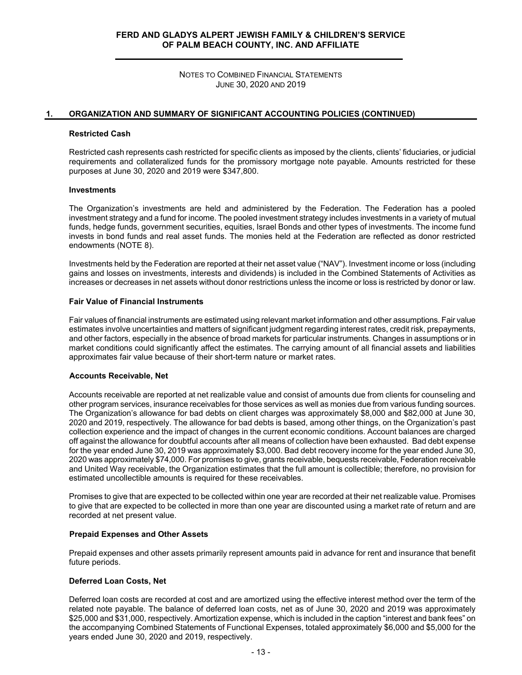NOTES TO COMBINED FINANCIAL STATEMENTS JUNE 30, 2020 AND 2019

#### **1. ORGANIZATION AND SUMMARY OF SIGNIFICANT ACCOUNTING POLICIES (CONTINUED)**

#### **Restricted Cash**

Restricted cash represents cash restricted for specific clients as imposed by the clients, clients' fiduciaries, or judicial requirements and collateralized funds for the promissory mortgage note payable. Amounts restricted for these purposes at June 30, 2020 and 2019 were \$347,800.

## **Investments**

The Organization's investments are held and administered by the Federation. The Federation has a pooled investment strategy and a fund for income. The pooled investment strategy includes investments in a variety of mutual funds, hedge funds, government securities, equities, Israel Bonds and other types of investments. The income fund invests in bond funds and real asset funds. The monies held at the Federation are reflected as donor restricted endowments (NOTE 8).

Investments held by the Federation are reported at their net asset value ("NAV"). Investment income or loss (including gains and losses on investments, interests and dividends) is included in the Combined Statements of Activities as increases or decreases in net assets without donor restrictions unless the income or loss is restricted by donor or law.

#### **Fair Value of Financial Instruments**

Fair values of financial instruments are estimated using relevant market information and other assumptions. Fair value estimates involve uncertainties and matters of significant judgment regarding interest rates, credit risk, prepayments, and other factors, especially in the absence of broad markets for particular instruments. Changes in assumptions or in market conditions could significantly affect the estimates. The carrying amount of all financial assets and liabilities approximates fair value because of their short-term nature or market rates.

#### **Accounts Receivable, Net**

Accounts receivable are reported at net realizable value and consist of amounts due from clients for counseling and other program services, insurance receivables for those services as well as monies due from various funding sources. The Organization's allowance for bad debts on client charges was approximately \$8,000 and \$82,000 at June 30, 2020 and 2019, respectively. The allowance for bad debts is based, among other things, on the Organization's past collection experience and the impact of changes in the current economic conditions. Account balances are charged off against the allowance for doubtful accounts after all means of collection have been exhausted. Bad debt expense for the year ended June 30, 2019 was approximately \$3,000. Bad debt recovery income for the year ended June 30, 2020 was approximately \$74,000. For promises to give, grants receivable, bequests receivable, Federation receivable and United Way receivable, the Organization estimates that the full amount is collectible; therefore, no provision for estimated uncollectible amounts is required for these receivables.

Promises to give that are expected to be collected within one year are recorded at their net realizable value. Promises to give that are expected to be collected in more than one year are discounted using a market rate of return and are recorded at net present value.

#### **Prepaid Expenses and Other Assets**

Prepaid expenses and other assets primarily represent amounts paid in advance for rent and insurance that benefit future periods.

## **Deferred Loan Costs, Net**

Deferred loan costs are recorded at cost and are amortized using the effective interest method over the term of the related note payable. The balance of deferred loan costs, net as of June 30, 2020 and 2019 was approximately \$25,000 and \$31,000, respectively. Amortization expense, which is included in the caption "interest and bank fees" on the accompanying Combined Statements of Functional Expenses, totaled approximately \$6,000 and \$5,000 for the years ended June 30, 2020 and 2019, respectively.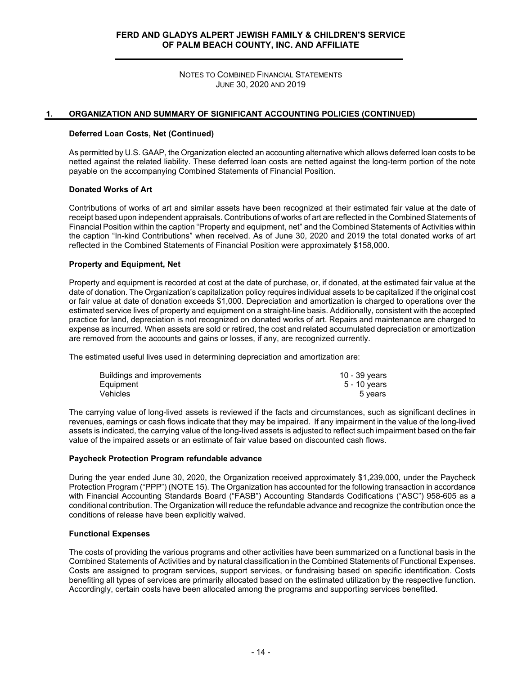NOTES TO COMBINED FINANCIAL STATEMENTS JUNE 30, 2020 AND 2019

#### **1. ORGANIZATION AND SUMMARY OF SIGNIFICANT ACCOUNTING POLICIES (CONTINUED)**

#### **Deferred Loan Costs, Net (Continued)**

As permitted by U.S. GAAP, the Organization elected an accounting alternative which allows deferred loan costs to be netted against the related liability. These deferred loan costs are netted against the long-term portion of the note payable on the accompanying Combined Statements of Financial Position.

## **Donated Works of Art**

Contributions of works of art and similar assets have been recognized at their estimated fair value at the date of receipt based upon independent appraisals. Contributions of works of art are reflected in the Combined Statements of Financial Position within the caption "Property and equipment, net" and the Combined Statements of Activities within the caption "In-kind Contributions" when received. As of June 30, 2020 and 2019 the total donated works of art reflected in the Combined Statements of Financial Position were approximately \$158,000.

## **Property and Equipment, Net**

Property and equipment is recorded at cost at the date of purchase, or, if donated, at the estimated fair value at the date of donation. The Organization's capitalization policy requires individual assets to be capitalized if the original cost or fair value at date of donation exceeds \$1,000. Depreciation and amortization is charged to operations over the estimated service lives of property and equipment on a straight-line basis. Additionally, consistent with the accepted practice for land, depreciation is not recognized on donated works of art. Repairs and maintenance are charged to expense as incurred. When assets are sold or retired, the cost and related accumulated depreciation or amortization are removed from the accounts and gains or losses, if any, are recognized currently.

The estimated useful lives used in determining depreciation and amortization are:

| Buildings and improvements | 10 - 39 years |
|----------------------------|---------------|
| Equipment                  | 5 - 10 vears  |
| Vehicles                   | 5 years       |

The carrying value of long-lived assets is reviewed if the facts and circumstances, such as significant declines in revenues, earnings or cash flows indicate that they may be impaired. If any impairment in the value of the long-lived assets is indicated, the carrying value of the long-lived assets is adjusted to reflect such impairment based on the fair value of the impaired assets or an estimate of fair value based on discounted cash flows.

#### **Paycheck Protection Program refundable advance**

During the year ended June 30, 2020, the Organization received approximately \$1,239,000, under the Paycheck Protection Program ("PPP") (NOTE 15). The Organization has accounted for the following transaction in accordance with Financial Accounting Standards Board ("FASB") Accounting Standards Codifications ("ASC") 958-605 as a conditional contribution. The Organization will reduce the refundable advance and recognize the contribution once the conditions of release have been explicitly waived.

## **Functional Expenses**

The costs of providing the various programs and other activities have been summarized on a functional basis in the Combined Statements of Activities and by natural classification in the Combined Statements of Functional Expenses. Costs are assigned to program services, support services, or fundraising based on specific identification. Costs benefiting all types of services are primarily allocated based on the estimated utilization by the respective function. Accordingly, certain costs have been allocated among the programs and supporting services benefited.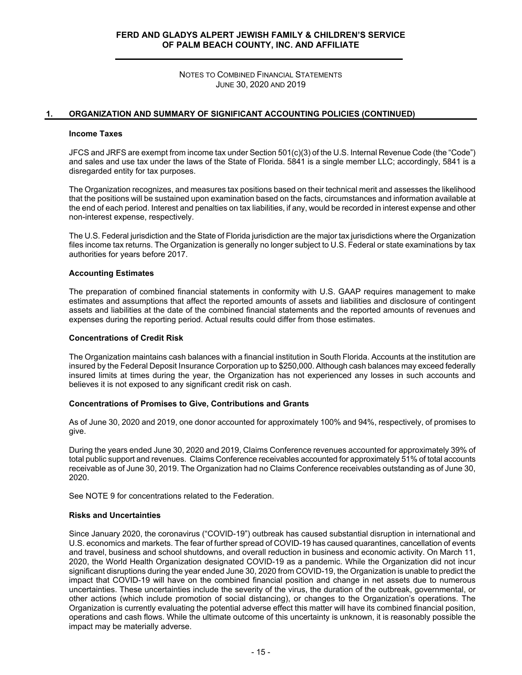NOTES TO COMBINED FINANCIAL STATEMENTS JUNE 30, 2020 AND 2019

#### **1. ORGANIZATION AND SUMMARY OF SIGNIFICANT ACCOUNTING POLICIES (CONTINUED)**

#### **Income Taxes**

JFCS and JRFS are exempt from income tax under Section 501(c)(3) of the U.S. Internal Revenue Code (the "Code") and sales and use tax under the laws of the State of Florida. 5841 is a single member LLC; accordingly, 5841 is a disregarded entity for tax purposes.

The Organization recognizes, and measures tax positions based on their technical merit and assesses the likelihood that the positions will be sustained upon examination based on the facts, circumstances and information available at the end of each period. Interest and penalties on tax liabilities, if any, would be recorded in interest expense and other non-interest expense, respectively.

The U.S. Federal jurisdiction and the State of Florida jurisdiction are the major tax jurisdictions where the Organization files income tax returns. The Organization is generally no longer subject to U.S. Federal or state examinations by tax authorities for years before 2017.

#### **Accounting Estimates**

The preparation of combined financial statements in conformity with U.S. GAAP requires management to make estimates and assumptions that affect the reported amounts of assets and liabilities and disclosure of contingent assets and liabilities at the date of the combined financial statements and the reported amounts of revenues and expenses during the reporting period. Actual results could differ from those estimates.

#### **Concentrations of Credit Risk**

The Organization maintains cash balances with a financial institution in South Florida. Accounts at the institution are insured by the Federal Deposit Insurance Corporation up to \$250,000. Although cash balances may exceed federally insured limits at times during the year, the Organization has not experienced any losses in such accounts and believes it is not exposed to any significant credit risk on cash.

#### **Concentrations of Promises to Give, Contributions and Grants**

As of June 30, 2020 and 2019, one donor accounted for approximately 100% and 94%, respectively, of promises to give.

During the years ended June 30, 2020 and 2019, Claims Conference revenues accounted for approximately 39% of total public support and revenues. Claims Conference receivables accounted for approximately 51% of total accounts receivable as of June 30, 2019. The Organization had no Claims Conference receivables outstanding as of June 30, 2020.

See NOTE 9 for concentrations related to the Federation.

#### **Risks and Uncertainties**

Since January 2020, the coronavirus ("COVID-19") outbreak has caused substantial disruption in international and U.S. economics and markets. The fear of further spread of COVID-19 has caused quarantines, cancellation of events and travel, business and school shutdowns, and overall reduction in business and economic activity. On March 11, 2020, the World Health Organization designated COVID-19 as a pandemic. While the Organization did not incur significant disruptions during the year ended June 30, 2020 from COVID-19, the Organization is unable to predict the impact that COVID-19 will have on the combined financial position and change in net assets due to numerous uncertainties. These uncertainties include the severity of the virus, the duration of the outbreak, governmental, or other actions (which include promotion of social distancing), or changes to the Organization's operations. The Organization is currently evaluating the potential adverse effect this matter will have its combined financial position, operations and cash flows. While the ultimate outcome of this uncertainty is unknown, it is reasonably possible the impact may be materially adverse.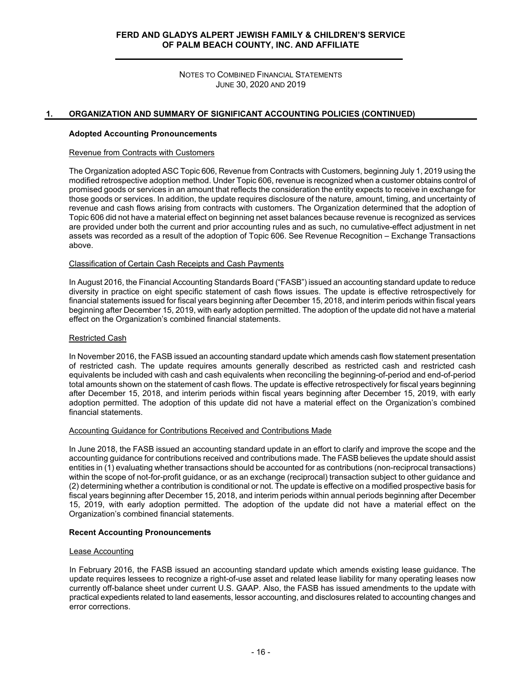NOTES TO COMBINED FINANCIAL STATEMENTS JUNE 30, 2020 AND 2019

## **1. ORGANIZATION AND SUMMARY OF SIGNIFICANT ACCOUNTING POLICIES (CONTINUED)**

#### **Adopted Accounting Pronouncements**

#### Revenue from Contracts with Customers

The Organization adopted ASC Topic 606, Revenue from Contracts with Customers, beginning July 1, 2019 using the modified retrospective adoption method. Under Topic 606, revenue is recognized when a customer obtains control of promised goods or services in an amount that reflects the consideration the entity expects to receive in exchange for those goods or services. In addition, the update requires disclosure of the nature, amount, timing, and uncertainty of revenue and cash flows arising from contracts with customers. The Organization determined that the adoption of Topic 606 did not have a material effect on beginning net asset balances because revenue is recognized as services are provided under both the current and prior accounting rules and as such, no cumulative-effect adjustment in net assets was recorded as a result of the adoption of Topic 606. See Revenue Recognition – Exchange Transactions above.

#### Classification of Certain Cash Receipts and Cash Payments

In August 2016, the Financial Accounting Standards Board ("FASB") issued an accounting standard update to reduce diversity in practice on eight specific statement of cash flows issues. The update is effective retrospectively for financial statements issued for fiscal years beginning after December 15, 2018, and interim periods within fiscal years beginning after December 15, 2019, with early adoption permitted. The adoption of the update did not have a material effect on the Organization's combined financial statements.

#### Restricted Cash

In November 2016, the FASB issued an accounting standard update which amends cash flow statement presentation of restricted cash. The update requires amounts generally described as restricted cash and restricted cash equivalents be included with cash and cash equivalents when reconciling the beginning-of-period and end-of-period total amounts shown on the statement of cash flows. The update is effective retrospectively for fiscal years beginning after December 15, 2018, and interim periods within fiscal years beginning after December 15, 2019, with early adoption permitted. The adoption of this update did not have a material effect on the Organization's combined financial statements.

#### Accounting Guidance for Contributions Received and Contributions Made

In June 2018, the FASB issued an accounting standard update in an effort to clarify and improve the scope and the accounting guidance for contributions received and contributions made. The FASB believes the update should assist entities in (1) evaluating whether transactions should be accounted for as contributions (non-reciprocal transactions) within the scope of not-for-profit guidance, or as an exchange (reciprocal) transaction subject to other guidance and (2) determining whether a contribution is conditional or not. The update is effective on a modified prospective basis for fiscal years beginning after December 15, 2018, and interim periods within annual periods beginning after December 15, 2019, with early adoption permitted. The adoption of the update did not have a material effect on the Organization's combined financial statements.

#### **Recent Accounting Pronouncements**

#### Lease Accounting

In February 2016, the FASB issued an accounting standard update which amends existing lease guidance. The update requires lessees to recognize a right-of-use asset and related lease liability for many operating leases now currently off-balance sheet under current U.S. GAAP. Also, the FASB has issued amendments to the update with practical expedients related to land easements, lessor accounting, and disclosures related to accounting changes and error corrections.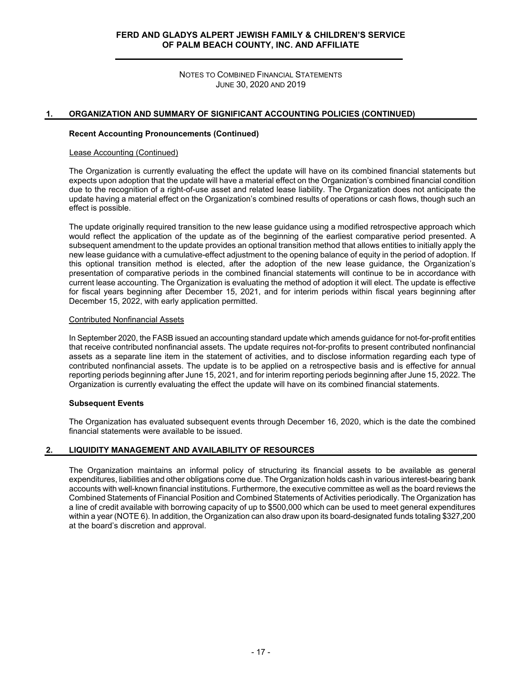NOTES TO COMBINED FINANCIAL STATEMENTS JUNE 30, 2020 AND 2019

## **1. ORGANIZATION AND SUMMARY OF SIGNIFICANT ACCOUNTING POLICIES (CONTINUED)**

#### **Recent Accounting Pronouncements (Continued)**

#### Lease Accounting (Continued)

The Organization is currently evaluating the effect the update will have on its combined financial statements but expects upon adoption that the update will have a material effect on the Organization's combined financial condition due to the recognition of a right-of-use asset and related lease liability. The Organization does not anticipate the update having a material effect on the Organization's combined results of operations or cash flows, though such an effect is possible.

The update originally required transition to the new lease guidance using a modified retrospective approach which would reflect the application of the update as of the beginning of the earliest comparative period presented. A subsequent amendment to the update provides an optional transition method that allows entities to initially apply the new lease guidance with a cumulative-effect adjustment to the opening balance of equity in the period of adoption. If this optional transition method is elected, after the adoption of the new lease guidance, the Organization's presentation of comparative periods in the combined financial statements will continue to be in accordance with current lease accounting. The Organization is evaluating the method of adoption it will elect. The update is effective for fiscal years beginning after December 15, 2021, and for interim periods within fiscal years beginning after December 15, 2022, with early application permitted.

#### Contributed Nonfinancial Assets

In September 2020, the FASB issued an accounting standard update which amends guidance for not-for-profit entities that receive contributed nonfinancial assets. The update requires not-for-profits to present contributed nonfinancial assets as a separate line item in the statement of activities, and to disclose information regarding each type of contributed nonfinancial assets. The update is to be applied on a retrospective basis and is effective for annual reporting periods beginning after June 15, 2021, and for interim reporting periods beginning after June 15, 2022. The Organization is currently evaluating the effect the update will have on its combined financial statements.

#### **Subsequent Events**

The Organization has evaluated subsequent events through December 16, 2020, which is the date the combined financial statements were available to be issued.

## **2. LIQUIDITY MANAGEMENT AND AVAILABILITY OF RESOURCES**

The Organization maintains an informal policy of structuring its financial assets to be available as general expenditures, liabilities and other obligations come due. The Organization holds cash in various interest-bearing bank accounts with well-known financial institutions. Furthermore, the executive committee as well as the board reviews the Combined Statements of Financial Position and Combined Statements of Activities periodically. The Organization has a line of credit available with borrowing capacity of up to \$500,000 which can be used to meet general expenditures within a year (NOTE 6). In addition, the Organization can also draw upon its board-designated funds totaling \$327,200 at the board's discretion and approval.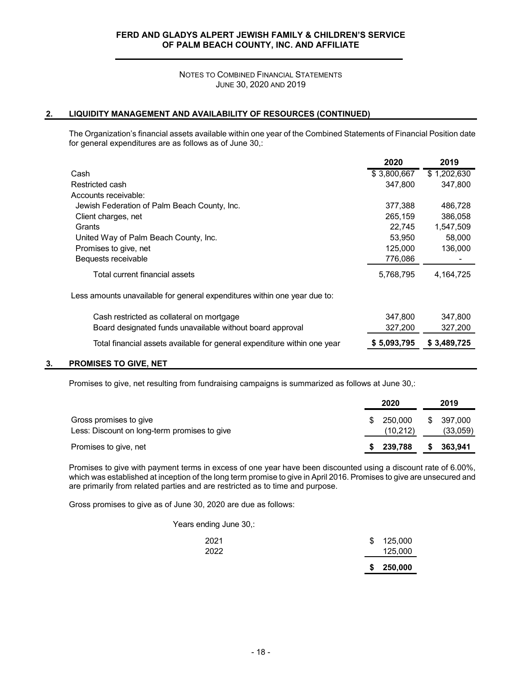NOTES TO COMBINED FINANCIAL STATEMENTS JUNE 30, 2020 AND 2019

# **2. LIQUIDITY MANAGEMENT AND AVAILABILITY OF RESOURCES (CONTINUED)**

The Organization's financial assets available within one year of the Combined Statements of Financial Position date for general expenditures are as follows as of June 30,:

|                                                                           | 2020        | 2019        |
|---------------------------------------------------------------------------|-------------|-------------|
| Cash                                                                      | \$3,800,667 | \$1,202,630 |
| Restricted cash                                                           | 347,800     | 347,800     |
| Accounts receivable:                                                      |             |             |
| Jewish Federation of Palm Beach County, Inc.                              | 377,388     | 486,728     |
| Client charges, net                                                       | 265,159     | 386,058     |
| Grants                                                                    | 22,745      | 1,547,509   |
| United Way of Palm Beach County, Inc.                                     | 53,950      | 58,000      |
| Promises to give, net                                                     | 125,000     | 136,000     |
| Bequests receivable                                                       | 776,086     |             |
| Total current financial assets                                            | 5,768,795   | 4,164,725   |
| Less amounts unavailable for general expenditures within one year due to: |             |             |
| Cash restricted as collateral on mortgage                                 | 347,800     | 347,800     |
| Board designated funds unavailable without board approval                 | 327,200     | 327,200     |
| Total financial assets available for general expenditure within one year  | \$5,093,795 | \$3,489,725 |
|                                                                           |             |             |

#### **3. PROMISES TO GIVE, NET**

Promises to give, net resulting from fundraising campaigns is summarized as follows at June 30,:

|                                                                        |     | 2020                |    | 2019                |
|------------------------------------------------------------------------|-----|---------------------|----|---------------------|
| Gross promises to give<br>Less: Discount on long-term promises to give | \$. | 250.000<br>(10,212) | S. | 397.000<br>(33,059) |
| Promises to give, net                                                  |     | 239,788             | S  | 363,941             |

Promises to give with payment terms in excess of one year have been discounted using a discount rate of 6.00%, which was established at inception of the long term promise to give in April 2016. Promises to give are unsecured and are primarily from related parties and are restricted as to time and purpose.

Gross promises to give as of June 30, 2020 are due as follows:

Years ending June 30,:

|      |    | \$250,000 |
|------|----|-----------|
| 2022 |    | 125,000   |
| 2021 | \$ | 125,000   |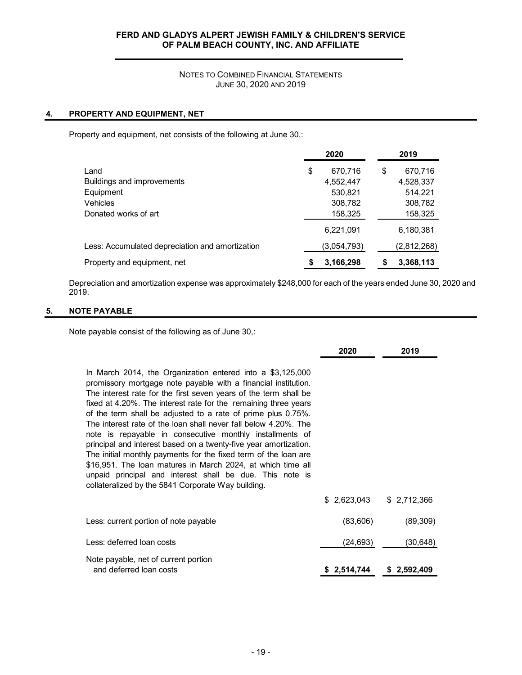## NOTES TO COMBINED FINANCIAL STATEMENTS JUNE 30, 2020 AND 2019

## **4. PROPERTY AND EQUIPMENT, NET**

Property and equipment, net consists of the following at June 30,:

|                                                 | 2020            | 2019          |
|-------------------------------------------------|-----------------|---------------|
| Land                                            | \$<br>670.716   | 670.716<br>\$ |
| Buildings and improvements                      | 4,552,447       | 4,528,337     |
| Equipment                                       | 530,821         | 514.221       |
| <b>Vehicles</b>                                 | 308,782         | 308,782       |
| Donated works of art                            | 158,325         | 158,325       |
|                                                 | 6,221,091       | 6,180,381     |
| Less: Accumulated depreciation and amortization | (3,054,793)     | (2,812,268)   |
| Property and equipment, net                     | 3,166,298<br>\$ | 3,368,113     |

Depreciation and amortization expense was approximately \$248,000 for each of the years ended June 30, 2020 and 2019.

# **5. NOTE PAYABLE**

Note payable consist of the following as of June 30,:

|                                                                                                                                                                                                                                                                                                                                                                                                                                                                                                                                                                                                                                                                                                                                                                                             | 2020                      | 2019        |
|---------------------------------------------------------------------------------------------------------------------------------------------------------------------------------------------------------------------------------------------------------------------------------------------------------------------------------------------------------------------------------------------------------------------------------------------------------------------------------------------------------------------------------------------------------------------------------------------------------------------------------------------------------------------------------------------------------------------------------------------------------------------------------------------|---------------------------|-------------|
| In March 2014, the Organization entered into a $$3,125,000$<br>promissory mortgage note payable with a financial institution.<br>The interest rate for the first seven years of the term shall be<br>fixed at 4.20%. The interest rate for the remaining three years<br>of the term shall be adjusted to a rate of prime plus 0.75%.<br>The interest rate of the loan shall never fall below 4.20%. The<br>note is repayable in consecutive monthly installments of<br>principal and interest based on a twenty-five year amortization.<br>The initial monthly payments for the fixed term of the loan are<br>\$16,951. The loan matures in March 2024, at which time all<br>unpaid principal and interest shall be due. This note is<br>collateralized by the 5841 Corporate Way building. |                           |             |
|                                                                                                                                                                                                                                                                                                                                                                                                                                                                                                                                                                                                                                                                                                                                                                                             | $$2,623,043$ $$2,712,366$ |             |
| Less: current portion of note payable                                                                                                                                                                                                                                                                                                                                                                                                                                                                                                                                                                                                                                                                                                                                                       | (83,606)                  | (89, 309)   |
| Less: deferred loan costs                                                                                                                                                                                                                                                                                                                                                                                                                                                                                                                                                                                                                                                                                                                                                                   | (24, 693)                 | (30,648)    |
| Note payable, net of current portion<br>and deferred loan costs                                                                                                                                                                                                                                                                                                                                                                                                                                                                                                                                                                                                                                                                                                                             | \$2,514,744               | \$2,592,409 |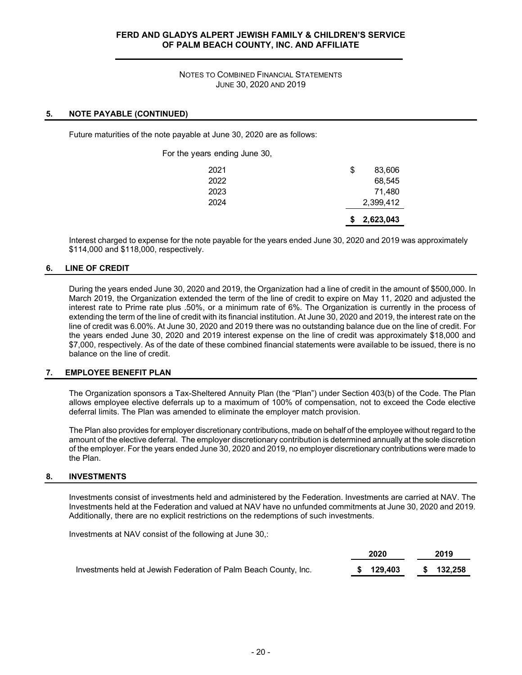## NOTES TO COMBINED FINANCIAL STATEMENTS JUNE 30, 2020 AND 2019

## **5. NOTE PAYABLE (CONTINUED)**

Future maturities of the note payable at June 30, 2020 are as follows:

For the years ending June 30,

|      | 2,623,043    |
|------|--------------|
| 2024 | 2,399,412    |
| 2023 | 71,480       |
| 2022 | 68,545       |
| 2021 | \$<br>83,606 |

Interest charged to expense for the note payable for the years ended June 30, 2020 and 2019 was approximately \$114,000 and \$118,000, respectively.

## **6. LINE OF CREDIT**

During the years ended June 30, 2020 and 2019, the Organization had a line of credit in the amount of \$500,000. In March 2019, the Organization extended the term of the line of credit to expire on May 11, 2020 and adjusted the interest rate to Prime rate plus .50%, or a minimum rate of 6%. The Organization is currently in the process of extending the term of the line of credit with its financial institution. At June 30, 2020 and 2019, the interest rate on the line of credit was 6.00%. At June 30, 2020 and 2019 there was no outstanding balance due on the line of credit. For the years ended June 30, 2020 and 2019 interest expense on the line of credit was approximately \$18,000 and \$7,000, respectively. As of the date of these combined financial statements were available to be issued, there is no balance on the line of credit.

#### **7. EMPLOYEE BENEFIT PLAN**

The Organization sponsors a Tax-Sheltered Annuity Plan (the "Plan") under Section 403(b) of the Code. The Plan allows employee elective deferrals up to a maximum of 100% of compensation, not to exceed the Code elective deferral limits. The Plan was amended to eliminate the employer match provision.

The Plan also provides for employer discretionary contributions, made on behalf of the employee without regard to the amount of the elective deferral. The employer discretionary contribution is determined annually at the sole discretion of the employer. For the years ended June 30, 2020 and 2019, no employer discretionary contributions were made to the Plan.

#### **8. INVESTMENTS**

Investments consist of investments held and administered by the Federation. Investments are carried at NAV. The Investments held at the Federation and valued at NAV have no unfunded commitments at June 30, 2020 and 2019. Additionally, there are no explicit restrictions on the redemptions of such investments.

Investments at NAV consist of the following at June 30,:

|                                                                  | 2020      | 2019      |
|------------------------------------------------------------------|-----------|-----------|
| Investments held at Jewish Federation of Palm Beach County, Inc. | \$129,403 | \$132,258 |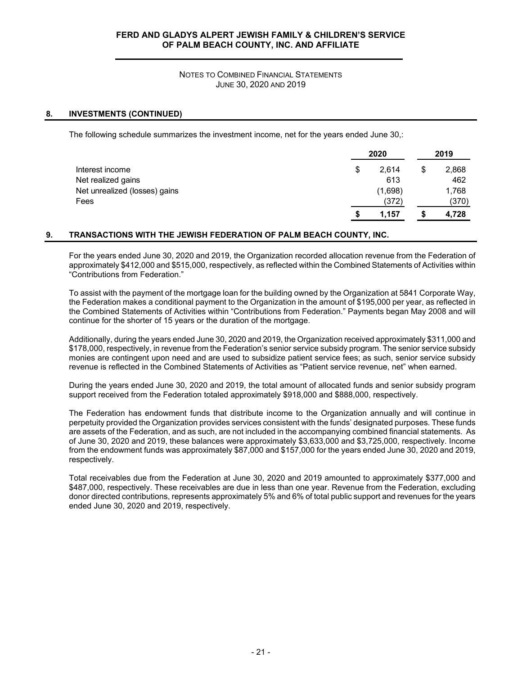## NOTES TO COMBINED FINANCIAL STATEMENTS JUNE 30, 2020 AND 2019

## **8. INVESTMENTS (CONTINUED)**

The following schedule summarizes the investment income, net for the years ended June 30,:

|                               | 2020        |    |       |
|-------------------------------|-------------|----|-------|
| Interest income               | \$<br>2.614 | \$ | 2,868 |
| Net realized gains            | 613         |    | 462   |
| Net unrealized (losses) gains | (1,698)     |    | 1,768 |
| Fees                          | (372)       |    | (370) |
|                               | 1,157       |    | 4,728 |

## **9. TRANSACTIONS WITH THE JEWISH FEDERATION OF PALM BEACH COUNTY, INC.**

For the years ended June 30, 2020 and 2019, the Organization recorded allocation revenue from the Federation of approximately \$412,000 and \$515,000, respectively, as reflected within the Combined Statements of Activities within "Contributions from Federation."

To assist with the payment of the mortgage loan for the building owned by the Organization at 5841 Corporate Way, the Federation makes a conditional payment to the Organization in the amount of \$195,000 per year, as reflected in the Combined Statements of Activities within "Contributions from Federation." Payments began May 2008 and will continue for the shorter of 15 years or the duration of the mortgage.

Additionally, during the years ended June 30, 2020 and 2019, the Organization received approximately \$311,000 and \$178,000, respectively, in revenue from the Federation's senior service subsidy program. The senior service subsidy monies are contingent upon need and are used to subsidize patient service fees; as such, senior service subsidy revenue is reflected in the Combined Statements of Activities as "Patient service revenue, net" when earned.

During the years ended June 30, 2020 and 2019, the total amount of allocated funds and senior subsidy program support received from the Federation totaled approximately \$918,000 and \$888,000, respectively.

The Federation has endowment funds that distribute income to the Organization annually and will continue in perpetuity provided the Organization provides services consistent with the funds' designated purposes. These funds are assets of the Federation, and as such, are not included in the accompanying combined financial statements. As of June 30, 2020 and 2019, these balances were approximately \$3,633,000 and \$3,725,000, respectively. Income from the endowment funds was approximately \$87,000 and \$157,000 for the years ended June 30, 2020 and 2019, respectively.

Total receivables due from the Federation at June 30, 2020 and 2019 amounted to approximately \$377,000 and \$487,000, respectively. These receivables are due in less than one year. Revenue from the Federation, excluding donor directed contributions, represents approximately 5% and 6% of total public support and revenues for the years ended June 30, 2020 and 2019, respectively.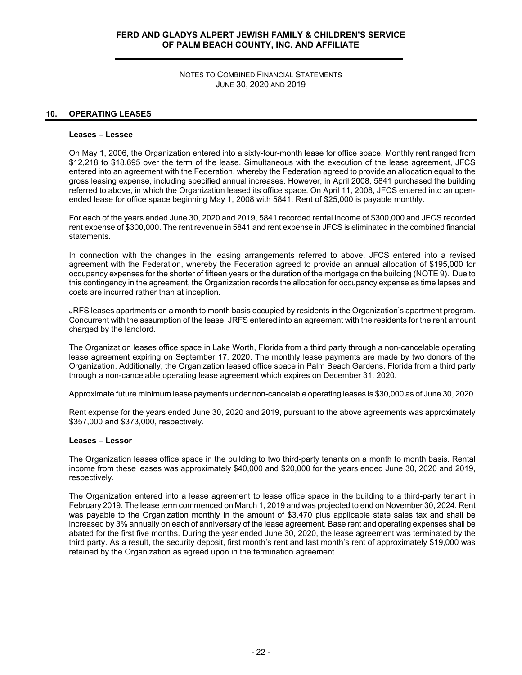NOTES TO COMBINED FINANCIAL STATEMENTS JUNE 30, 2020 AND 2019

#### **10. OPERATING LEASES**

#### **Leases – Lessee**

On May 1, 2006, the Organization entered into a sixty-four-month lease for office space. Monthly rent ranged from \$12,218 to \$18,695 over the term of the lease. Simultaneous with the execution of the lease agreement, JFCS entered into an agreement with the Federation, whereby the Federation agreed to provide an allocation equal to the gross leasing expense, including specified annual increases. However, in April 2008, 5841 purchased the building referred to above, in which the Organization leased its office space. On April 11, 2008, JFCS entered into an openended lease for office space beginning May 1, 2008 with 5841. Rent of \$25,000 is payable monthly.

For each of the years ended June 30, 2020 and 2019, 5841 recorded rental income of \$300,000 and JFCS recorded rent expense of \$300,000. The rent revenue in 5841 and rent expense in JFCS is eliminated in the combined financial statements.

In connection with the changes in the leasing arrangements referred to above, JFCS entered into a revised agreement with the Federation, whereby the Federation agreed to provide an annual allocation of \$195,000 for occupancy expenses for the shorter of fifteen years or the duration of the mortgage on the building (NOTE 9). Due to this contingency in the agreement, the Organization records the allocation for occupancy expense as time lapses and costs are incurred rather than at inception.

JRFS leases apartments on a month to month basis occupied by residents in the Organization's apartment program. Concurrent with the assumption of the lease, JRFS entered into an agreement with the residents for the rent amount charged by the landlord.

The Organization leases office space in Lake Worth, Florida from a third party through a non-cancelable operating lease agreement expiring on September 17, 2020. The monthly lease payments are made by two donors of the Organization. Additionally, the Organization leased office space in Palm Beach Gardens, Florida from a third party through a non-cancelable operating lease agreement which expires on December 31, 2020.

Approximate future minimum lease payments under non-cancelable operating leases is \$30,000 as of June 30, 2020.

Rent expense for the years ended June 30, 2020 and 2019, pursuant to the above agreements was approximately \$357,000 and \$373,000, respectively.

#### **Leases – Lessor**

The Organization leases office space in the building to two third-party tenants on a month to month basis. Rental income from these leases was approximately \$40,000 and \$20,000 for the years ended June 30, 2020 and 2019, respectively.

The Organization entered into a lease agreement to lease office space in the building to a third-party tenant in February 2019. The lease term commenced on March 1, 2019 and was projected to end on November 30, 2024. Rent was payable to the Organization monthly in the amount of \$3,470 plus applicable state sales tax and shall be increased by 3% annually on each of anniversary of the lease agreement. Base rent and operating expenses shall be abated for the first five months. During the year ended June 30, 2020, the lease agreement was terminated by the third party. As a result, the security deposit, first month's rent and last month's rent of approximately \$19,000 was retained by the Organization as agreed upon in the termination agreement.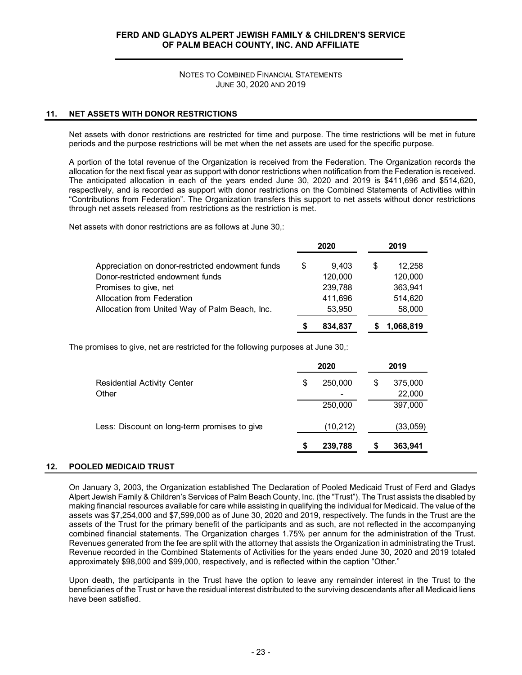NOTES TO COMBINED FINANCIAL STATEMENTS JUNE 30, 2020 AND 2019

## **11. NET ASSETS WITH DONOR RESTRICTIONS**

Net assets with donor restrictions are restricted for time and purpose. The time restrictions will be met in future periods and the purpose restrictions will be met when the net assets are used for the specific purpose.

A portion of the total revenue of the Organization is received from the Federation. The Organization records the allocation for the next fiscal year as support with donor restrictions when notification from the Federation is received. The anticipated allocation in each of the years ended June 30, 2020 and 2019 is \$411,696 and \$514,620, respectively, and is recorded as support with donor restrictions on the Combined Statements of Activities within "Contributions from Federation". The Organization transfers this support to net assets without donor restrictions through net assets released from restrictions as the restriction is met.

Net assets with donor restrictions are as follows at June 30,:

|                                                  |   | 2020    |   | 2019      |  |
|--------------------------------------------------|---|---------|---|-----------|--|
| Appreciation on donor-restricted endowment funds | S | 9.403   | S | 12.258    |  |
| Donor-restricted endowment funds                 |   | 120,000 |   | 120,000   |  |
| Promises to give, net                            |   | 239,788 |   | 363.941   |  |
| Allocation from Federation                       |   | 411.696 |   | 514,620   |  |
| Allocation from United Way of Palm Beach, Inc.   |   | 53,950  |   | 58,000    |  |
|                                                  |   | 834,837 |   | 1,068,819 |  |

The promises to give, net are restricted for the following purposes at June 30,:

|                                              | 2020 |           |    | 2019              |
|----------------------------------------------|------|-----------|----|-------------------|
| <b>Residential Activity Center</b><br>Other  | S    | 250,000   | \$ | 375,000<br>22,000 |
|                                              |      | 250,000   |    | 397,000           |
| Less: Discount on long-term promises to give |      | (10, 212) |    | (33,059)          |
|                                              | S    | 239,788   | S  | 363,941           |

## **12. POOLED MEDICAID TRUST**

On January 3, 2003, the Organization established The Declaration of Pooled Medicaid Trust of Ferd and Gladys Alpert Jewish Family & Children's Services of Palm Beach County, Inc. (the "Trust"). The Trust assists the disabled by making financial resources available for care while assisting in qualifying the individual for Medicaid. The value of the assets was \$7,254,000 and \$7,599,000 as of June 30, 2020 and 2019, respectively. The funds in the Trust are the assets of the Trust for the primary benefit of the participants and as such, are not reflected in the accompanying combined financial statements. The Organization charges 1.75% per annum for the administration of the Trust. Revenues generated from the fee are split with the attorney that assists the Organization in administrating the Trust. Revenue recorded in the Combined Statements of Activities for the years ended June 30, 2020 and 2019 totaled approximately \$98,000 and \$99,000, respectively, and is reflected within the caption "Other."

Upon death, the participants in the Trust have the option to leave any remainder interest in the Trust to the beneficiaries of the Trust or have the residual interest distributed to the surviving descendants after all Medicaid liens have been satisfied.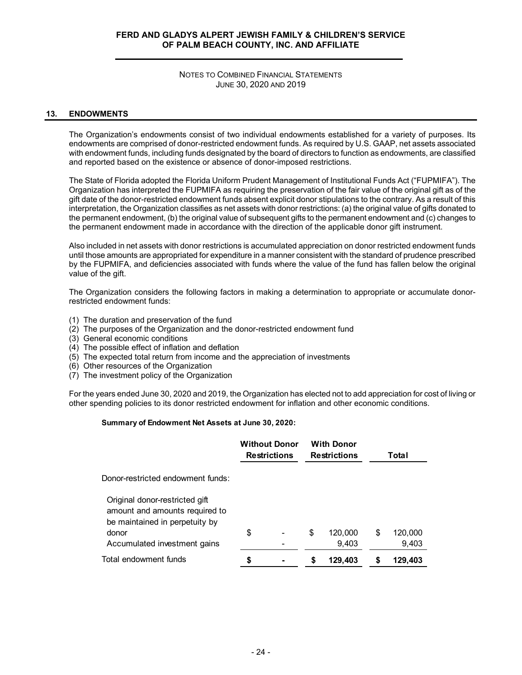NOTES TO COMBINED FINANCIAL STATEMENTS JUNE 30, 2020 AND 2019

## **13. ENDOWMENTS**

The Organization's endowments consist of two individual endowments established for a variety of purposes. Its endowments are comprised of donor-restricted endowment funds. As required by U.S. GAAP, net assets associated with endowment funds, including funds designated by the board of directors to function as endowments, are classified and reported based on the existence or absence of donor-imposed restrictions.

The State of Florida adopted the Florida Uniform Prudent Management of Institutional Funds Act ("FUPMIFA"). The Organization has interpreted the FUPMIFA as requiring the preservation of the fair value of the original gift as of the gift date of the donor-restricted endowment funds absent explicit donor stipulations to the contrary. As a result of this interpretation, the Organization classifies as net assets with donor restrictions: (a) the original value of gifts donated to the permanent endowment, (b) the original value of subsequent gifts to the permanent endowment and (c) changes to the permanent endowment made in accordance with the direction of the applicable donor gift instrument.

Also included in net assets with donor restrictions is accumulated appreciation on donor restricted endowment funds until those amounts are appropriated for expenditure in a manner consistent with the standard of prudence prescribed by the FUPMIFA, and deficiencies associated with funds where the value of the fund has fallen below the original value of the gift.

The Organization considers the following factors in making a determination to appropriate or accumulate donorrestricted endowment funds:

- (1) The duration and preservation of the fund
- (2) The purposes of the Organization and the donor-restricted endowment fund
- (3) General economic conditions
- (4) The possible effect of inflation and deflation
- (5) The expected total return from income and the appreciation of investments
- (6) Other resources of the Organization
- (7) The investment policy of the Organization

For the years ended June 30, 2020 and 2019, the Organization has elected not to add appreciation for cost of living or other spending policies to its donor restricted endowment for inflation and other economic conditions.

#### **Summary of Endowment Net Assets at June 30, 2020:**

|                                                                                                             | <b>Without Donor</b><br><b>Restrictions</b> |  | <b>With Donor</b><br><b>Restrictions</b> |    | Total   |
|-------------------------------------------------------------------------------------------------------------|---------------------------------------------|--|------------------------------------------|----|---------|
| Donor-restricted endowment funds:                                                                           |                                             |  |                                          |    |         |
| Original donor-restricted gift<br>amount and amounts required to<br>be maintained in perpetuity by<br>donor | \$                                          |  | \$<br>120,000                            | \$ | 120,000 |
| Accumulated investment gains                                                                                |                                             |  | 9,403                                    |    | 9,403   |
| Total endowment funds                                                                                       | S                                           |  | 129,403                                  | S  | 129,403 |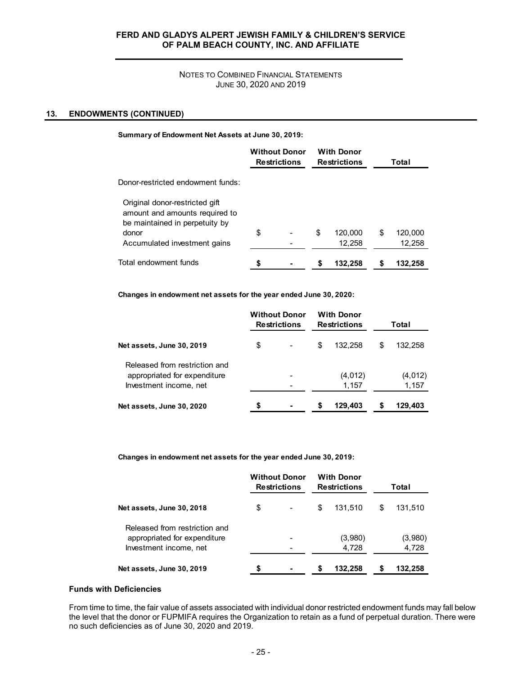## NOTES TO COMBINED FINANCIAL STATEMENTS JUNE 30, 2020 AND 2019

## **13. ENDOWMENTS (CONTINUED)**

#### **Summary of Endowment Net Assets at June 30, 2019:**

|                                                                                                    | <b>Without Donor</b><br><b>Restrictions</b> |  |    | <b>With Donor</b><br><b>Restrictions</b> | Total |         |  |  |
|----------------------------------------------------------------------------------------------------|---------------------------------------------|--|----|------------------------------------------|-------|---------|--|--|
| Donor-restricted endowment funds:                                                                  |                                             |  |    |                                          |       |         |  |  |
| Original donor-restricted gift<br>amount and amounts required to<br>be maintained in perpetuity by |                                             |  |    |                                          |       |         |  |  |
| donor                                                                                              | \$                                          |  | \$ | 120.000                                  | \$    | 120,000 |  |  |
| Accumulated investment gains                                                                       |                                             |  |    | 12,258                                   |       | 12,258  |  |  |
| Total endowment funds                                                                              |                                             |  | S  | 132,258                                  |       | 132.258 |  |  |

**Changes in endowment net assets for the year ended June 30, 2020:**

|                                                                                         |    | <b>Without Donor</b><br><b>Restrictions</b> |   | <b>With Donor</b><br><b>Restrictions</b> | Total |                  |  |
|-----------------------------------------------------------------------------------------|----|---------------------------------------------|---|------------------------------------------|-------|------------------|--|
| Net assets, June 30, 2019                                                               | \$ |                                             | S | 132.258                                  | S     | 132.258          |  |
| Released from restriction and<br>appropriated for expenditure<br>Investment income, net |    |                                             |   | (4,012)<br>1,157                         |       | (4,012)<br>1,157 |  |
| Net assets, June 30, 2020                                                               | S  |                                             | S | 129.403                                  |       | 129,403          |  |

**Changes in endowment net assets for the year ended June 30, 2019:**

|                                                                                         | <b>Without Donor</b><br><b>Restrictions</b> |   | <b>With Donor</b><br><b>Restrictions</b> | Total |                  |  |
|-----------------------------------------------------------------------------------------|---------------------------------------------|---|------------------------------------------|-------|------------------|--|
| Net assets, June 30, 2018                                                               | \$                                          | S | 131.510                                  | S     | 131,510          |  |
| Released from restriction and<br>appropriated for expenditure<br>Investment income, net |                                             |   | (3,980)<br>4,728                         |       | (3,980)<br>4,728 |  |
| Net assets, June 30, 2019                                                               | \$                                          | S | 132.258                                  | S     | 132,258          |  |

#### **Funds with Deficiencies**

From time to time, the fair value of assets associated with individual donor restricted endowment funds may fall below the level that the donor or FUPMIFA requires the Organization to retain as a fund of perpetual duration. There were no such deficiencies as of June 30, 2020 and 2019.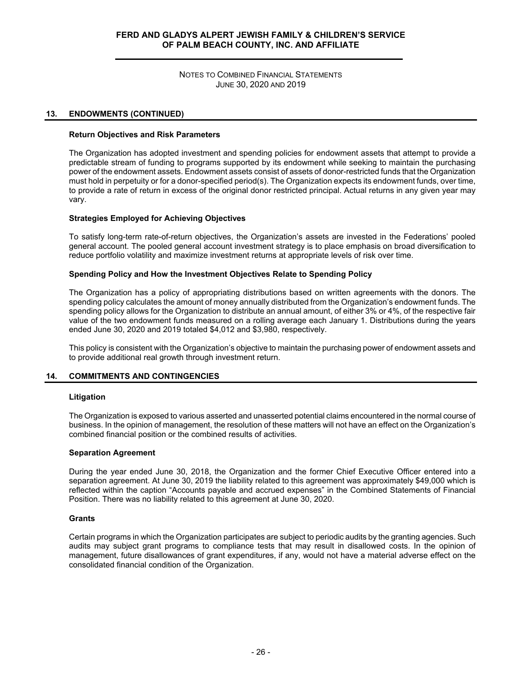NOTES TO COMBINED FINANCIAL STATEMENTS JUNE 30, 2020 AND 2019

## **13. ENDOWMENTS (CONTINUED)**

#### **Return Objectives and Risk Parameters**

The Organization has adopted investment and spending policies for endowment assets that attempt to provide a predictable stream of funding to programs supported by its endowment while seeking to maintain the purchasing power of the endowment assets. Endowment assets consist of assets of donor-restricted funds that the Organization must hold in perpetuity or for a donor-specified period(s). The Organization expects its endowment funds, over time, to provide a rate of return in excess of the original donor restricted principal. Actual returns in any given year may vary.

#### **Strategies Employed for Achieving Objectives**

To satisfy long-term rate-of-return objectives, the Organization's assets are invested in the Federations' pooled general account. The pooled general account investment strategy is to place emphasis on broad diversification to reduce portfolio volatility and maximize investment returns at appropriate levels of risk over time.

#### **Spending Policy and How the Investment Objectives Relate to Spending Policy**

The Organization has a policy of appropriating distributions based on written agreements with the donors. The spending policy calculates the amount of money annually distributed from the Organization's endowment funds. The spending policy allows for the Organization to distribute an annual amount, of either 3% or 4%, of the respective fair value of the two endowment funds measured on a rolling average each January 1. Distributions during the years ended June 30, 2020 and 2019 totaled \$4,012 and \$3,980, respectively.

This policy is consistent with the Organization's objective to maintain the purchasing power of endowment assets and to provide additional real growth through investment return.

## **14. COMMITMENTS AND CONTINGENCIES**

#### **Litigation**

The Organization is exposed to various asserted and unasserted potential claims encountered in the normal course of business. In the opinion of management, the resolution of these matters will not have an effect on the Organization's combined financial position or the combined results of activities.

#### **Separation Agreement**

During the year ended June 30, 2018, the Organization and the former Chief Executive Officer entered into a separation agreement. At June 30, 2019 the liability related to this agreement was approximately \$49,000 which is reflected within the caption "Accounts payable and accrued expenses" in the Combined Statements of Financial Position. There was no liability related to this agreement at June 30, 2020.

#### **Grants**

Certain programs in which the Organization participates are subject to periodic audits by the granting agencies. Such audits may subject grant programs to compliance tests that may result in disallowed costs. In the opinion of management, future disallowances of grant expenditures, if any, would not have a material adverse effect on the consolidated financial condition of the Organization.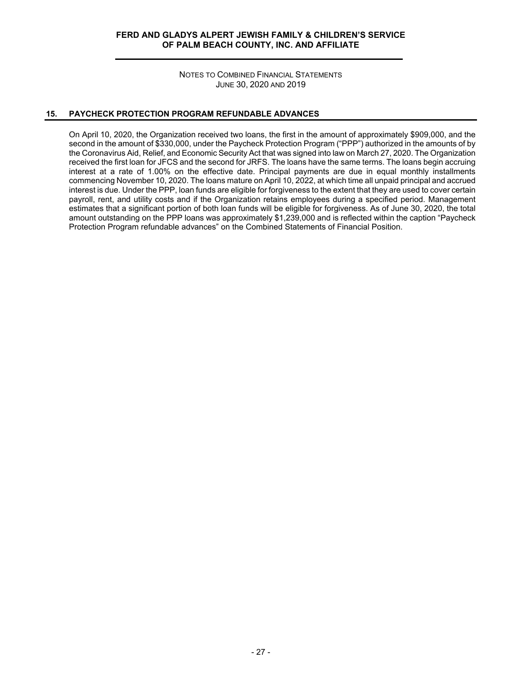NOTES TO COMBINED FINANCIAL STATEMENTS JUNE 30, 2020 AND 2019

## **15. PAYCHECK PROTECTION PROGRAM REFUNDABLE ADVANCES**

On April 10, 2020, the Organization received two loans, the first in the amount of approximately \$909,000, and the second in the amount of \$330,000, under the Paycheck Protection Program ("PPP") authorized in the amounts of by the Coronavirus Aid, Relief, and Economic Security Act that was signed into law on March 27, 2020. The Organization received the first loan for JFCS and the second for JRFS. The loans have the same terms. The loans begin accruing interest at a rate of 1.00% on the effective date. Principal payments are due in equal monthly installments commencing November 10, 2020. The loans mature on April 10, 2022, at which time all unpaid principal and accrued interest is due. Under the PPP, loan funds are eligible for forgiveness to the extent that they are used to cover certain payroll, rent, and utility costs and if the Organization retains employees during a specified period. Management estimates that a significant portion of both loan funds will be eligible for forgiveness. As of June 30, 2020, the total amount outstanding on the PPP loans was approximately \$1,239,000 and is reflected within the caption "Paycheck Protection Program refundable advances" on the Combined Statements of Financial Position.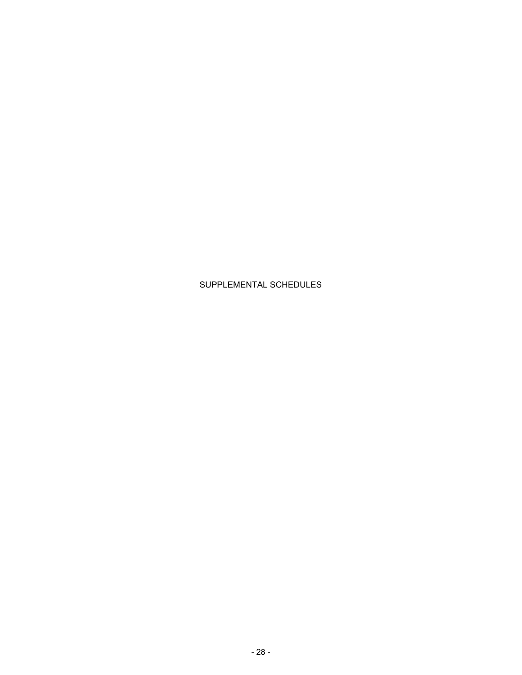# SUPPLEMENTAL SCHEDULES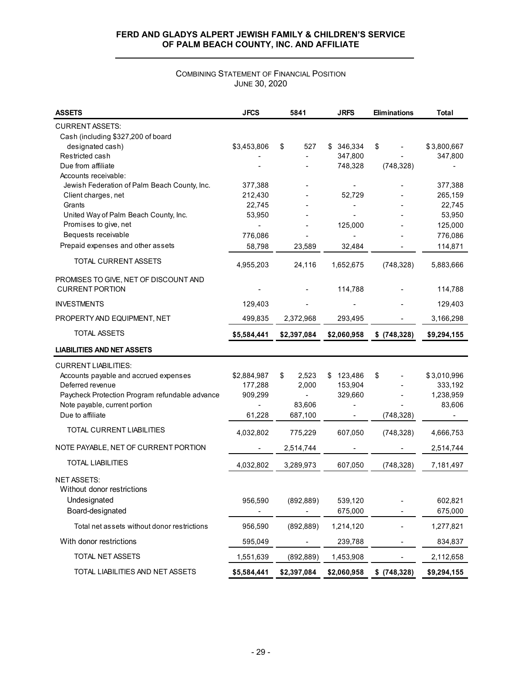# COMBINING STATEMENT OF FINANCIAL POSITION JUNE 30, 2020

| <b>ASSETS</b>                                  | <b>JFCS</b> | 5841        | <b>JRFS</b> | <b>Eliminations</b> | Total       |
|------------------------------------------------|-------------|-------------|-------------|---------------------|-------------|
| <b>CURRENT ASSETS:</b>                         |             |             |             |                     |             |
| Cash (including \$327,200 of board             |             |             |             |                     |             |
| designated cash)                               | \$3,453,806 | \$<br>527   | \$346,334   | \$                  | \$3,800,667 |
| Restricted cash                                |             |             | 347,800     |                     | 347,800     |
| Due from affiliate                             |             |             | 748,328     | (748, 328)          |             |
| Accounts receivable:                           |             |             |             |                     |             |
| Jewish Federation of Palm Beach County, Inc.   | 377,388     |             |             |                     | 377,388     |
| Client charges, net                            | 212,430     |             | 52,729      |                     | 265,159     |
| Grants                                         | 22,745      |             |             |                     | 22,745      |
| United Way of Palm Beach County, Inc.          | 53,950      |             |             |                     | 53,950      |
| Promises to give, net                          |             |             | 125,000     |                     | 125,000     |
| Bequests receivable                            | 776,086     |             |             |                     | 776,086     |
| Prepaid expenses and other assets              | 58,798      | 23,589      | 32,484      |                     | 114,871     |
| TOTAL CURRENT ASSETS                           | 4,955,203   | 24,116      | 1,652,675   | (748, 328)          | 5,883,666   |
| PROMISES TO GIVE, NET OF DISCOUNT AND          |             |             |             |                     |             |
| <b>CURRENT PORTION</b>                         |             |             | 114,788     |                     | 114,788     |
| <b>INVESTMENTS</b>                             | 129,403     |             |             |                     | 129,403     |
| PROPERTY AND EQUIPMENT, NET                    | 499,835     | 2,372,968   | 293,495     |                     | 3,166,298   |
| TOTAL ASSETS                                   | \$5,584,441 | \$2,397,084 | \$2,060,958 | \$ (748,328)        | \$9,294,155 |
| <b>LIABILITIES AND NET ASSETS</b>              |             |             |             |                     |             |
| <b>CURRENT LIABILITIES:</b>                    |             |             |             |                     |             |
| Accounts payable and accrued expenses          | \$2,884,987 | 2,523<br>\$ | \$123,486   | \$                  | \$3,010,996 |
| Deferred revenue                               | 177,288     | 2,000       | 153,904     |                     | 333,192     |
| Paycheck Protection Program refundable advance | 909,299     |             | 329,660     |                     | 1,238,959   |
| Note payable, current portion                  |             | 83,606      |             |                     | 83,606      |
| Due to affiliate                               | 61,228      | 687,100     |             | (748, 328)          |             |
| TOTAL CURRENT LIABILITIES                      | 4,032,802   | 775,229     | 607,050     | (748, 328)          | 4,666,753   |
| NOTE PAYABLE, NET OF CURRENT PORTION           |             | 2,514,744   |             |                     | 2,514,744   |
| <b>TOTAL LIABILITIES</b>                       | 4,032,802   | 3,289,973   | 607,050     | (748, 328)          | 7,181,497   |
| <b>NET ASSETS:</b>                             |             |             |             |                     |             |
| Without donor restrictions                     |             |             |             |                     |             |
| Undesignated                                   | 956,590     | (892, 889)  | 539,120     |                     | 602,821     |
| Board-designated                               |             |             | 675,000     |                     | 675,000     |
| Total net assets without donor restrictions    | 956,590     | (892, 889)  | 1,214,120   |                     | 1,277,821   |
| With donor restrictions                        | 595,049     |             | 239,788     |                     | 834,837     |
| TOTAL NET ASSETS                               | 1,551,639   | (892, 889)  | 1,453,908   |                     | 2,112,658   |
| TOTAL LIABILITIES AND NET ASSETS               | \$5,584,441 | \$2,397,084 | \$2,060,958 | $$$ (748,328)       | \$9,294,155 |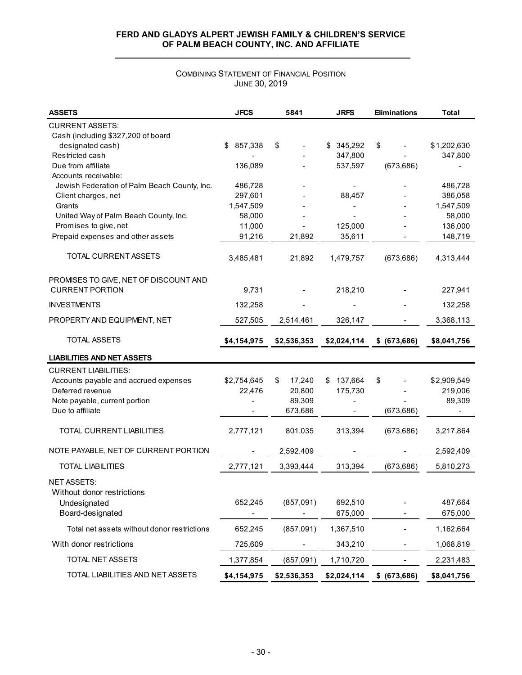# COMBINING STATEMENT OF FINANCIAL POSITION JUNE 30, 2019

| <b>ASSETS</b>                                              | <b>JFCS</b>   | 5841         | <b>JRFS</b>    | <b>Eliminations</b> | Total       |
|------------------------------------------------------------|---------------|--------------|----------------|---------------------|-------------|
| <b>CURRENT ASSETS:</b>                                     |               |              |                |                     |             |
| Cash (including \$327,200 of board                         |               |              |                |                     |             |
| designated cash)                                           | 857,338<br>\$ | \$           | \$345,292      | \$                  | \$1,202,630 |
| Restricted cash                                            |               |              | 347,800        |                     | 347,800     |
| Due from affiliate                                         | 136,089       |              | 537,597        | (673, 686)          |             |
| Accounts receivable:                                       |               |              |                |                     |             |
| Jewish Federation of Palm Beach County, Inc.               | 486,728       |              |                |                     | 486,728     |
| Client charges, net                                        | 297,601       |              | 88,457         |                     | 386,058     |
| Grants                                                     | 1,547,509     |              |                |                     | 1,547,509   |
| United Way of Palm Beach County, Inc.                      | 58,000        |              |                |                     | 58,000      |
| Promises to give, net<br>Prepaid expenses and other assets | 11,000        |              | 125,000        |                     | 136,000     |
|                                                            | 91,216        | 21,892       | 35,611         |                     | 148,719     |
| TOTAL CURRENT ASSETS                                       | 3,485,481     | 21,892       | 1,479,757      | (673, 686)          | 4,313,444   |
| PROMISES TO GIVE, NET OF DISCOUNT AND                      |               |              |                |                     |             |
| <b>CURRENT PORTION</b>                                     | 9,731         |              | 218,210        |                     | 227,941     |
| <b>INVESTMENTS</b>                                         | 132,258       |              |                |                     | 132,258     |
| PROPERTY AND EQUIPMENT, NET                                | 527,505       | 2,514,461    | 326,147        |                     | 3,368,113   |
| <b>TOTAL ASSETS</b>                                        | \$4,154,975   | \$2,536,353  | \$2,024,114    | \$ (673, 686)       | \$8,041,756 |
| <b>LIABILITIES AND NET ASSETS</b>                          |               |              |                |                     |             |
| <b>CURRENT LIABILITIES:</b>                                |               |              |                |                     |             |
| Accounts payable and accrued expenses                      | \$2,754,645   | 17,240<br>\$ | 137,664<br>\$  | \$                  | \$2,909,549 |
| Deferred revenue                                           | 22,476        | 20,800       | 175,730        |                     | 219,006     |
| Note payable, current portion                              |               | 89,309       | $\blacksquare$ |                     | 89,309      |
| Due to affiliate                                           |               | 673,686      |                | (673, 686)          |             |
| TOTAL CURRENT LIABILITIES                                  | 2,777,121     | 801,035      | 313,394        | (673, 686)          | 3,217,864   |
| NOTE PAYABLE, NET OF CURRENT PORTION                       |               | 2,592,409    |                |                     | 2,592,409   |
| <b>TOTAL LIABILITIES</b>                                   | 2,777,121     | 3,393,444    | 313,394        | (673, 686)          | 5,810,273   |
| <b>NET ASSETS:</b>                                         |               |              |                |                     |             |
| Without donor restrictions                                 |               |              |                |                     |             |
| Undesignated                                               | 652,245       | (857,091)    | 692,510        |                     | 487,664     |
| Board-designated                                           |               |              | 675,000        |                     | 675,000     |
| Total net assets without donor restrictions                | 652,245       | (857,091)    | 1,367,510      |                     | 1,162,664   |
| With donor restrictions                                    | 725,609       |              | 343,210        |                     | 1,068,819   |
| TOTAL NET ASSETS                                           | 1,377,854     | (857,091)    | 1,710,720      |                     | 2,231,483   |
| TOTAL LIABILITIES AND NET ASSETS                           | \$4,154,975   | \$2,536,353  | \$2,024,114    | \$ (673, 686)       | \$8,041,756 |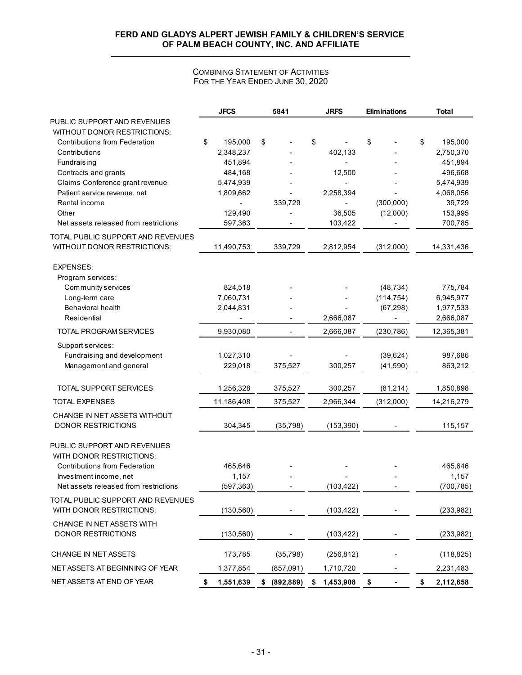## COMBINING STATEMENT OF ACTIVITIES FOR THE YEAR ENDED JUNE 30, 2020

|                                       |    | <b>JFCS</b>          | 5841                     |    | <b>JRFS</b> | <b>Eliminations</b> |    | <b>Total</b>         |
|---------------------------------------|----|----------------------|--------------------------|----|-------------|---------------------|----|----------------------|
| PUBLIC SUPPORT AND REVENUES           |    |                      |                          |    |             |                     |    |                      |
| WITHOUT DONOR RESTRICTIONS:           |    |                      |                          |    |             |                     |    |                      |
| <b>Contributions from Federation</b>  | \$ | 195,000              | \$                       | \$ |             | \$                  | \$ | 195,000              |
| Contributions<br>Fundraising          |    | 2,348,237<br>451,894 |                          |    | 402,133     |                     |    | 2,750,370<br>451,894 |
| Contracts and grants                  |    | 484,168              |                          |    | 12,500      |                     |    | 496,668              |
| Claims Conference grant revenue       |    | 5,474,939            |                          |    |             |                     |    | 5,474,939            |
| Patient service revenue, net          |    | 1,809,662            |                          |    | 2,258,394   |                     |    | 4,068,056            |
| Rental income                         |    |                      | 339,729                  |    |             | (300,000)           |    | 39,729               |
| Other                                 |    | 129,490              |                          |    | 36,505      | (12,000)            |    | 153,995              |
| Net assets released from restrictions |    | 597,363              |                          |    | 103,422     |                     |    | 700,785              |
| TOTAL PUBLIC SUPPORT AND REVENUES     |    |                      |                          |    |             |                     |    |                      |
| <b>WITHOUT DONOR RESTRICTIONS:</b>    |    | 11,490,753           | 339,729                  |    | 2,812,954   | (312,000)           |    | 14,331,436           |
| <b>EXPENSES:</b>                      |    |                      |                          |    |             |                     |    |                      |
| Program services:                     |    |                      |                          |    |             |                     |    |                      |
| Community services                    |    | 824,518              |                          |    |             | (48, 734)           |    | 775,784              |
| Long-term care                        |    | 7,060,731            |                          |    |             | (114, 754)          |    | 6,945,977            |
| <b>Behavioral health</b>              |    | 2,044,831            |                          |    |             | (67, 298)           |    | 1,977,533            |
| Residential                           |    |                      |                          |    | 2,666,087   |                     |    | 2,666,087            |
| TOTAL PROGRAM SERVICES                |    | 9,930,080            | $\overline{\phantom{a}}$ |    | 2,666,087   | (230, 786)          |    | 12,365,381           |
| Support services:                     |    |                      |                          |    |             |                     |    |                      |
| Fundraising and development           |    | 1,027,310            |                          |    |             | (39, 624)           |    | 987,686              |
| Management and general                |    | 229,018              | 375,527                  |    | 300,257     | (41,590)            |    | 863,212              |
| TOTAL SUPPORT SERVICES                |    | 1,256,328            | 375,527                  |    | 300,257     | (81,214)            |    | 1,850,898            |
| <b>TOTAL EXPENSES</b>                 |    | 11,186,408           | 375,527                  |    | 2,966,344   | (312,000)           |    | 14,216,279           |
| CHANGE IN NET ASSETS WITHOUT          |    |                      |                          |    |             |                     |    |                      |
| <b>DONOR RESTRICTIONS</b>             |    | 304,345              | (35, 798)                |    | (153, 390)  |                     |    | 115,157              |
| PUBLIC SUPPORT AND REVENUES           |    |                      |                          |    |             |                     |    |                      |
| WITH DONOR RESTRICTIONS:              |    |                      |                          |    |             |                     |    |                      |
| <b>Contributions from Federation</b>  |    | 465,646              |                          |    |             |                     |    | 465,646              |
| Investment income, net                |    | 1,157                |                          |    |             |                     |    | 1,157                |
| Net assets released from restrictions |    | (597, 363)           |                          |    | (103, 422)  |                     |    | (700, 785)           |
| TOTAL PUBLIC SUPPORT AND REVENUES     |    |                      |                          |    |             |                     |    |                      |
| WITH DONOR RESTRICTIONS:              |    | (130, 560)           |                          |    | (103, 422)  |                     |    | (233, 982)           |
| CHANGE IN NET ASSETS WITH             |    |                      |                          |    |             |                     |    |                      |
| <b>DONOR RESTRICTIONS</b>             |    | (130, 560)           |                          |    | (103, 422)  |                     |    | (233,982)            |
| CHANGE IN NET ASSETS                  |    | 173,785              | (35, 798)                |    | (256, 812)  |                     |    | (118, 825)           |
| NET ASSETS AT BEGINNING OF YEAR       |    | 1,377,854            | (857,091)                |    | 1,710,720   |                     |    | 2,231,483            |
| NET ASSETS AT END OF YEAR             | S  | 1,551,639            | \$ (892, 889)            | S  | 1,453,908   | \$                  | S  | 2,112,658            |